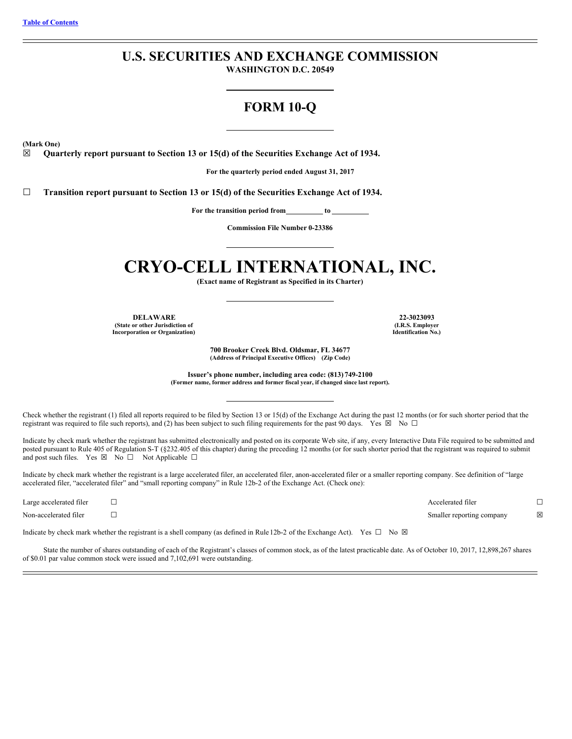# **U.S. SECURITIES AND EXCHANGE COMMISSION**

**WASHINGTON D.C. 20549**

# **FORM 10-Q**

**(Mark One)**

☒ **Quarterly report pursuant to Section 13 or 15(d) of the Securities Exchange Act of 1934.**

**For the quarterly period ended August 31, 2017**

☐ **Transition report pursuant to Section 13 or 15(d) of the Securities Exchange Act of 1934.**

**For the transition period from to**

**Commission File Number 0-23386**

# **CRYO-CELL INTERNATIONAL, INC.**

**(Exact name of Registrant as Specified in its Charter)**

**DELAWARE 22-3023093 (State or other Jurisdiction of Incorporation or Organization)**

**(I.R.S. Employer Identification No.)**

**700 Brooker Creek Blvd. Oldsmar, FL 34677 (Address of Principal Executive Offices) (Zip Code)**

**Issuer's phone number, including area code: (813) 749-2100 (Former name, former address and former fiscal year, if changed since last report).**

Check whether the registrant (1) filed all reports required to be filed by Section 13 or 15(d) of the Exchange Act during the past 12 months (or for such shorter period that the registrant was required to file such reports), and (2) has been subject to such filing requirements for the past 90 days. Yes  $\boxtimes$  No  $\Box$ 

Indicate by check mark whether the registrant has submitted electronically and posted on its corporate Web site, if any, every Interactive Data File required to be submitted and posted pursuant to Rule 405 of Regulation S-T (§232.405 of this chapter) during the preceding 12 months (or for such shorter period that the registrant was required to submit and post such files. Yes  $\boxtimes$  No  $\square$  Not Applicable  $\square$ 

Indicate by check mark whether the registrant is a large accelerated filer, an accelerated filer, anon-accelerated filer or a smaller reporting company. See definition of "large accelerated filer, "accelerated filer" and "small reporting company" in Rule 12b-2 of the Exchange Act. (Check one):

Large accelerated filer ☐ Accelerated filer ☐

Non-accelerated filer ☐ Smaller reporting company ☒

Indicate by check mark whether the registrant is a shell company (as defined in Rule 12b-2 of the Exchange Act). Yes  $\Box$  No  $\boxtimes$ 

State the number of shares outstanding of each of the Registrant's classes of common stock, as of the latest practicable date. As of October 10, 2017, 12,898,267 shares of \$0.01 par value common stock were issued and 7,102,691 were outstanding.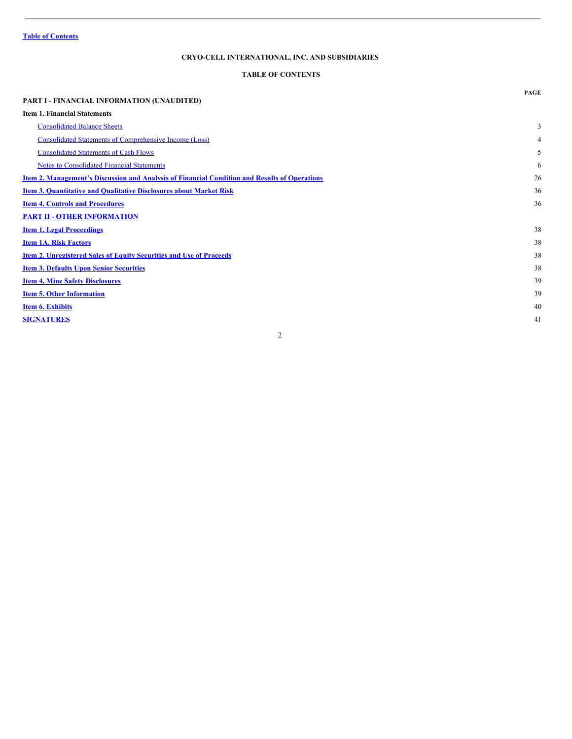# <span id="page-1-0"></span>**TABLE OF CONTENTS**

| <b>PART I - FINANCIAL INFORMATION (UNAUDITED)</b>                                                    | PAGE |
|------------------------------------------------------------------------------------------------------|------|
| <b>Item 1. Financial Statements</b>                                                                  |      |
| <b>Consolidated Balance Sheets</b>                                                                   | 3    |
| <b>Consolidated Statements of Comprehensive Income (Loss)</b>                                        | 4    |
| <b>Consolidated Statements of Cash Flows</b>                                                         | 5    |
| <b>Notes to Consolidated Financial Statements</b>                                                    | 6    |
| <b>Item 2. Management's Discussion and Analysis of Financial Condition and Results of Operations</b> | 26   |
| <b>Item 3. Quantitative and Qualitative Disclosures about Market Risk</b>                            | 36   |
| <b>Item 4. Controls and Procedures</b>                                                               | 36   |
| <b>PART II - OTHER INFORMATION</b>                                                                   |      |
| <b>Item 1. Legal Proceedings</b>                                                                     | 38   |
| <b>Item 1A. Risk Factors</b>                                                                         | 38   |
| <b>Item 2. Unregistered Sales of Equity Securities and Use of Proceeds</b>                           | 38   |
| <b>Item 3. Defaults Upon Senior Securities</b>                                                       | 38   |
| <b>Item 4. Mine Safety Disclosures</b>                                                               | 39   |
| <b>Item 5. Other Information</b>                                                                     | 39   |
| <b>Item 6. Exhibits</b>                                                                              | 40   |
| <b>SIGNATURES</b>                                                                                    | 41   |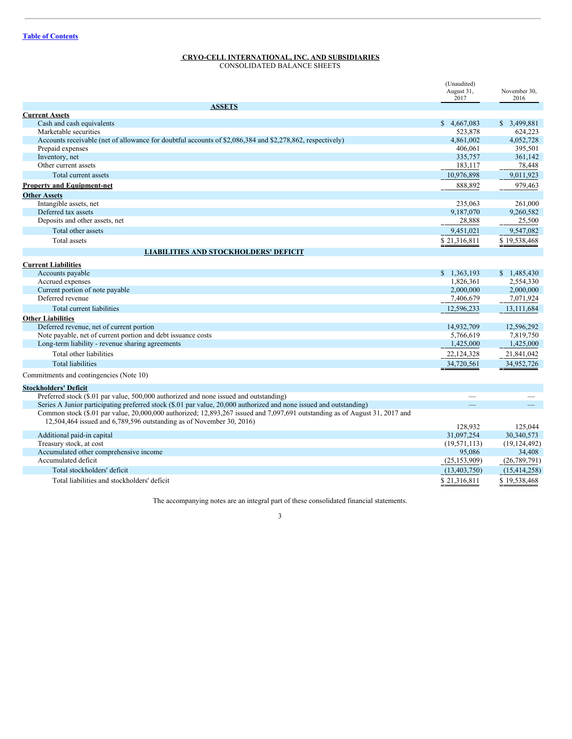<span id="page-2-0"></span>CONSOLIDATED BALANCE SHEETS

|                                                                                                                             | (Unaudited)<br>August 31,<br>2017 | November 30,<br>2016     |
|-----------------------------------------------------------------------------------------------------------------------------|-----------------------------------|--------------------------|
| <b>ASSETS</b>                                                                                                               |                                   |                          |
| <b>Current Assets</b>                                                                                                       |                                   |                          |
| Cash and cash equivalents                                                                                                   | \$4,667,083                       | \$ 3,499,881             |
| Marketable securities                                                                                                       | 523,878                           | 624,223                  |
| Accounts receivable (net of allowance for doubtful accounts of \$2,086,384 and \$2,278,862, respectively)                   | 4,861,002                         | 4,052,728                |
| Prepaid expenses                                                                                                            | 406,061                           | 395,501                  |
| Inventory, net                                                                                                              | 335,757                           | 361,142                  |
| Other current assets                                                                                                        | 183,117                           | 78,448                   |
| Total current assets                                                                                                        | 10,976,898                        | 9,011,923                |
| <b>Property and Equipment-net</b>                                                                                           | 888,892                           | 979,463                  |
| <b>Other Assets</b>                                                                                                         |                                   |                          |
| Intangible assets, net                                                                                                      | 235,063                           | 261.000                  |
| Deferred tax assets                                                                                                         | 9,187,070                         | 9,260,582                |
| Deposits and other assets, net                                                                                              | 28,888                            | 25,500                   |
| Total other assets                                                                                                          | 9,451,021                         | 9,547,082                |
| Total assets                                                                                                                | \$21,316,811                      | \$19,538,468             |
| <b>LIABILITIES AND STOCKHOLDERS' DEFICIT</b>                                                                                |                                   |                          |
|                                                                                                                             |                                   |                          |
| <b>Current Liabilities</b>                                                                                                  |                                   |                          |
| Accounts payable                                                                                                            | \$1,363,193                       | \$1,485,430              |
| Accrued expenses<br>Current portion of note payable                                                                         | 1,826,361<br>2,000,000            | 2,554,330<br>2,000,000   |
| Deferred revenue                                                                                                            | 7,406,679                         | 7,071,924                |
| Total current liabilities                                                                                                   |                                   |                          |
|                                                                                                                             | 12,596,233                        | 13,111,684               |
| <b>Other Liabilities</b>                                                                                                    |                                   |                          |
| Deferred revenue, net of current portion                                                                                    | 14,932,709                        | 12,596,292               |
| Note payable, net of current portion and debt issuance costs                                                                | 5,766,619                         | 7,819,750                |
| Long-term liability - revenue sharing agreements                                                                            | 1,425,000                         | 1,425,000                |
| Total other liabilities                                                                                                     | 22,124,328                        | 21,841,042               |
| <b>Total liabilities</b>                                                                                                    | 34,720,561                        | 34,952,726               |
| Commitments and contingencies (Note 10)                                                                                     |                                   |                          |
| <b>Stockholders' Deficit</b>                                                                                                |                                   |                          |
| Preferred stock (\$.01 par value, 500,000 authorized and none issued and outstanding)                                       |                                   |                          |
| Series A Junior participating preferred stock (\$.01 par value, 20,000 authorized and none issued and outstanding)          |                                   |                          |
| Common stock (\$.01 par value, 20,000,000 authorized; 12,893,267 issued and 7,097,691 outstanding as of August 31, 2017 and |                                   |                          |
| 12,504,464 issued and 6,789,596 outstanding as of November 30, 2016)                                                        |                                   |                          |
|                                                                                                                             | 128,932                           | 125,044                  |
| Additional paid-in capital                                                                                                  | 31,097,254                        | 30,340,573               |
| Treasury stock, at cost                                                                                                     | (19, 571, 113)                    | (19, 124, 492)           |
| Accumulated other comprehensive income<br>Accumulated deficit                                                               | 95,086                            | 34,408<br>(26, 789, 791) |
|                                                                                                                             | (25, 153, 909)                    |                          |
| Total stockholders' deficit                                                                                                 | (13, 403, 750)                    | (15, 414, 258)           |
| Total liabilities and stockholders' deficit                                                                                 | \$21,316,811                      | \$19,538,468             |

The accompanying notes are an integral part of these consolidated financial statements.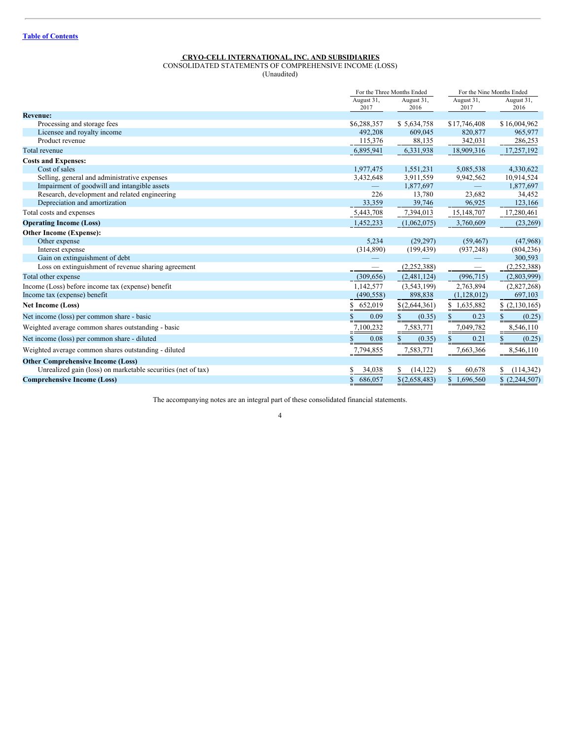<span id="page-3-0"></span>CONSOLIDATED STATEMENTS OF COMPREHENSIVE INCOME (LOSS)

(Unaudited)

|                                                              |                    | For the Three Months Ended |                    | For the Nine Months Ended |  |
|--------------------------------------------------------------|--------------------|----------------------------|--------------------|---------------------------|--|
|                                                              | August 31,<br>2017 | August 31,<br>2016         | August 31,<br>2017 | August 31,<br>2016        |  |
| <b>Revenue:</b>                                              |                    |                            |                    |                           |  |
| Processing and storage fees                                  | \$6,288,357        | \$5,634,758                | \$17,746,408       | \$16,004,962              |  |
| Licensee and royalty income                                  | 492,208            | 609,045                    | 820,877            | 965,977                   |  |
| Product revenue                                              | 115,376            | 88,135                     | 342,031            | 286,253                   |  |
| Total revenue                                                | 6,895,941          | 6,331,938                  | 18,909,316         | 17,257,192                |  |
| <b>Costs and Expenses:</b>                                   |                    |                            |                    |                           |  |
| Cost of sales                                                | 1,977,475          | 1,551,231                  | 5,085,538          | 4,330,622                 |  |
| Selling, general and administrative expenses                 | 3,432,648          | 3,911,559                  | 9,942,562          | 10,914,524                |  |
| Impairment of goodwill and intangible assets                 |                    | 1,877,697                  |                    | 1,877,697                 |  |
| Research, development and related engineering                | 226                | 13,780                     | 23,682             | 34,452                    |  |
| Depreciation and amortization                                | 33,359             | 39,746                     | 96,925             | 123,166                   |  |
| Total costs and expenses                                     | 5,443,708          | 7,394,013                  | 15,148,707         | 17,280,461                |  |
| <b>Operating Income (Loss)</b>                               | 1,452,233          | (1,062,075)                | 3,760,609          | (23, 269)                 |  |
| <b>Other Income (Expense):</b>                               |                    |                            |                    |                           |  |
| Other expense                                                | 5,234              | (29, 297)                  | (59, 467)          | (47,968)                  |  |
| Interest expense                                             | (314,890)          | (199, 439)                 | (937, 248)         | (804, 236)                |  |
| Gain on extinguishment of debt                               |                    |                            |                    | 300,593                   |  |
| Loss on extinguishment of revenue sharing agreement          |                    | (2,252,388)                |                    | (2,252,388)               |  |
| Total other expense                                          | (309, 656)         | (2,481,124)                | (996, 715)         | (2,803,999)               |  |
| Income (Loss) before income tax (expense) benefit            | 1,142,577          | (3,543,199)                | 2,763,894          | (2,827,268)               |  |
| Income tax (expense) benefit                                 | (490, 558)         | 898,838                    | (1,128,012)        | 697,103                   |  |
| <b>Net Income (Loss)</b>                                     | S<br>652,019       | \$(2,644,361)              | \$1,635,882        | (2,130,165)               |  |
| Net income (loss) per common share - basic                   | \$<br>0.09         | S<br>(0.35)                | \$<br>0.23         | \$<br>(0.25)              |  |
| Weighted average common shares outstanding - basic           | 7,100,232          | 7,583,771                  | 7,049,782          | 8,546,110                 |  |
| Net income (loss) per common share - diluted                 | \$<br>0.08         | $\mathbb{S}$<br>(0.35)     | \$<br>0.21         | \$<br>(0.25)              |  |
| Weighted average common shares outstanding - diluted         | 7,794,855          | 7,583,771                  | 7,663,366          | 8,546,110                 |  |
| <b>Other Comprehensive Income (Loss)</b>                     |                    |                            |                    |                           |  |
| Unrealized gain (loss) on marketable securities (net of tax) | S<br>34,038        | S.<br>(14, 122)            | \$<br>60,678       | (114, 342)<br>S.          |  |
| <b>Comprehensive Income (Loss)</b>                           | \$<br>686,057      | \$(2,658,483)              | \$1,696,560        | \$(2,244,507)             |  |

The accompanying notes are an integral part of these consolidated financial statements.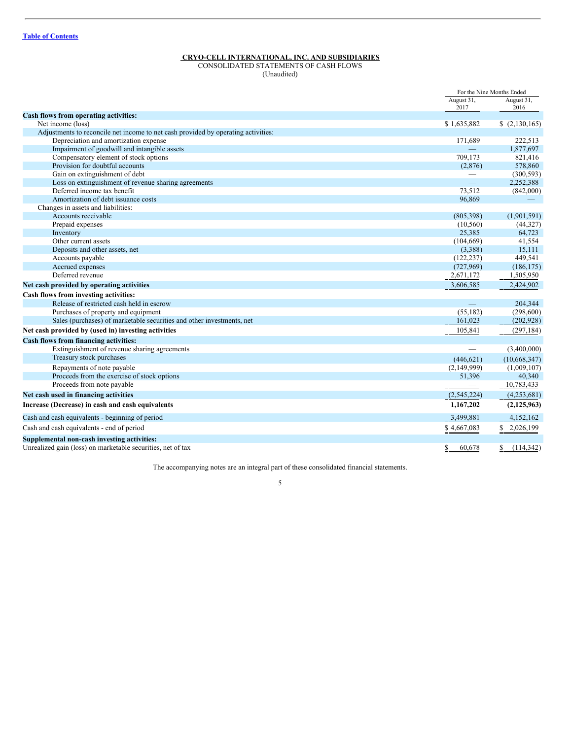<span id="page-4-0"></span>CONSOLIDATED STATEMENTS OF CASH FLOWS

(Unaudited)

|                                                                                   |                          | For the Nine Months Ended |
|-----------------------------------------------------------------------------------|--------------------------|---------------------------|
|                                                                                   | August 31,<br>2017       | August 31,<br>2016        |
| Cash flows from operating activities:                                             |                          |                           |
| Net income (loss)                                                                 | \$1,635,882              | (2,130,165)               |
| Adjustments to reconcile net income to net cash provided by operating activities: |                          |                           |
| Depreciation and amortization expense                                             | 171,689                  | 222.513                   |
| Impairment of goodwill and intangible assets                                      |                          | 1,877,697                 |
| Compensatory element of stock options                                             | 709.173                  | 821,416                   |
| Provision for doubtful accounts                                                   | (2,876)                  | 578,860                   |
| Gain on extinguishment of debt                                                    |                          | (300, 593)                |
| Loss on extinguishment of revenue sharing agreements                              | $\frac{1}{2}$            | 2,252,388                 |
| Deferred income tax benefit                                                       | 73,512                   | (842,000)                 |
| Amortization of debt issuance costs                                               | 96,869                   |                           |
| Changes in assets and liabilities:                                                |                          |                           |
| Accounts receivable                                                               | (805, 398)               | (1,901,591)               |
| Prepaid expenses                                                                  | (10, 560)                | (44,327)                  |
| Inventory                                                                         | 25,385                   | 64,723                    |
| Other current assets                                                              | (104, 669)               | 41,554                    |
| Deposits and other assets, net                                                    | (3,388)                  | 15,111                    |
| Accounts payable                                                                  | (122, 237)               | 449,541                   |
| Accrued expenses                                                                  | (727,969)                | (186, 175)                |
| Deferred revenue                                                                  | 2,671,172                | 1,505,950                 |
| Net cash provided by operating activities                                         | 3,606,585                | 2,424,902                 |
| Cash flows from investing activities:                                             |                          |                           |
| Release of restricted cash held in escrow                                         | $\overline{\phantom{m}}$ | 204,344                   |
| Purchases of property and equipment                                               | (55, 182)                | (298,600)                 |
| Sales (purchases) of marketable securities and other investments, net             | 161,023                  | (202, 928)                |
| Net cash provided by (used in) investing activities                               | 105.841                  | (297, 184)                |
| Cash flows from financing activities:                                             |                          |                           |
| Extinguishment of revenue sharing agreements                                      |                          | (3,400,000)               |
| Treasury stock purchases                                                          | (446, 621)               | (10,668,347)              |
| Repayments of note payable                                                        | (2,149,999)              | (1,009,107)               |
| Proceeds from the exercise of stock options                                       | 51,396                   | 40,340                    |
| Proceeds from note payable                                                        | $\overline{\phantom{0}}$ | 10,783,433                |
| Net cash used in financing activities                                             | (2,545,224)              | (4,253,681)               |
| Increase (Decrease) in cash and cash equivalents                                  | 1,167,202                | (2, 125, 963)             |
| Cash and cash equivalents - beginning of period                                   | 3,499,881                | 4,152,162                 |
| Cash and cash equivalents - end of period                                         | \$4,667,083              | 2,026,199                 |
| Supplemental non-cash investing activities:                                       |                          |                           |
| Unrealized gain (loss) on marketable securities, net of tax                       | \$<br>60.678             | \$<br>(114.342)           |

The accompanying notes are an integral part of these consolidated financial statements.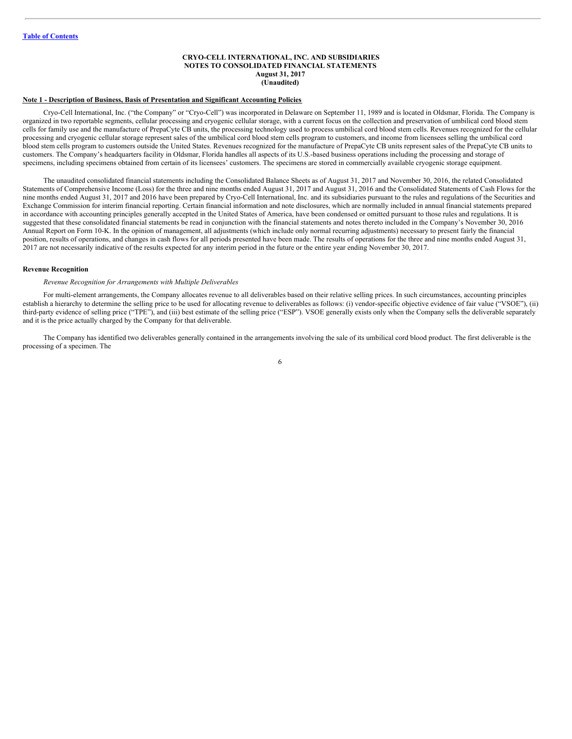#### <span id="page-5-0"></span>**CRYO-CELL INTERNATIONAL, INC. AND SUBSIDIARIES NOTES TO CONSOLIDATED FINANCIAL STATEMENTS August 31, 2017 (Unaudited)**

#### **Note 1 - Description of Business, Basis of Presentation and Significant Accounting Policies**

Cryo-Cell International, Inc. ("the Company" or "Cryo-Cell") was incorporated in Delaware on September 11, 1989 and is located in Oldsmar, Florida. The Company is organized in two reportable segments, cellular processing and cryogenic cellular storage, with a current focus on the collection and preservation of umbilical cord blood stem cells for family use and the manufacture of PrepaCyte CB units, the processing technology used to process umbilical cord blood stem cells. Revenues recognized for the cellular processing and cryogenic cellular storage represent sales of the umbilical cord blood stem cells program to customers, and income from licensees selling the umbilical cord blood stem cells program to customers outside the United States. Revenues recognized for the manufacture of PrepaCyte CB units represent sales of the PrepaCyte CB units to customers. The Company's headquarters facility in Oldsmar, Florida handles all aspects of its U.S.-based business operations including the processing and storage of specimens, including specimens obtained from certain of its licensees' customers. The specimens are stored in commercially available cryogenic storage equipment.

The unaudited consolidated financial statements including the Consolidated Balance Sheets as of August 31, 2017 and November 30, 2016, the related Consolidated Statements of Comprehensive Income (Loss) for the three and nine months ended August 31, 2017 and August 31, 2016 and the Consolidated Statements of Cash Flows for the nine months ended August 31, 2017 and 2016 have been prepared by Cryo-Cell International, Inc. and its subsidiaries pursuant to the rules and regulations of the Securities and Exchange Commission for interim financial reporting. Certain financial information and note disclosures, which are normally included in annual financial statements prepared in accordance with accounting principles generally accepted in the United States of America, have been condensed or omitted pursuant to those rules and regulations. It is suggested that these consolidated financial statements be read in conjunction with the financial statements and notes thereto included in the Company's November 30, 2016 Annual Report on Form 10-K. In the opinion of management, all adjustments (which include only normal recurring adjustments) necessary to present fairly the financial position, results of operations, and changes in cash flows for all periods presented have been made. The results of operations for the three and nine months ended August 31, 2017 are not necessarily indicative of the results expected for any interim period in the future or the entire year ending November 30, 2017.

#### **Revenue Recognition**

#### *Revenue Recognition for Arrangements with Multiple Deliverables*

For multi-element arrangements, the Company allocates revenue to all deliverables based on their relative selling prices. In such circumstances, accounting principles establish a hierarchy to determine the selling price to be used for allocating revenue to deliverables as follows: (i) vendor-specific objective evidence of fair value ("VSOE"), (ii) third-party evidence of selling price ("TPE"), and (iii) best estimate of the selling price ("ESP"). VSOE generally exists only when the Company sells the deliverable separately and it is the price actually charged by the Company for that deliverable.

The Company has identified two deliverables generally contained in the arrangements involving the sale of its umbilical cord blood product. The first deliverable is the processing of a specimen. The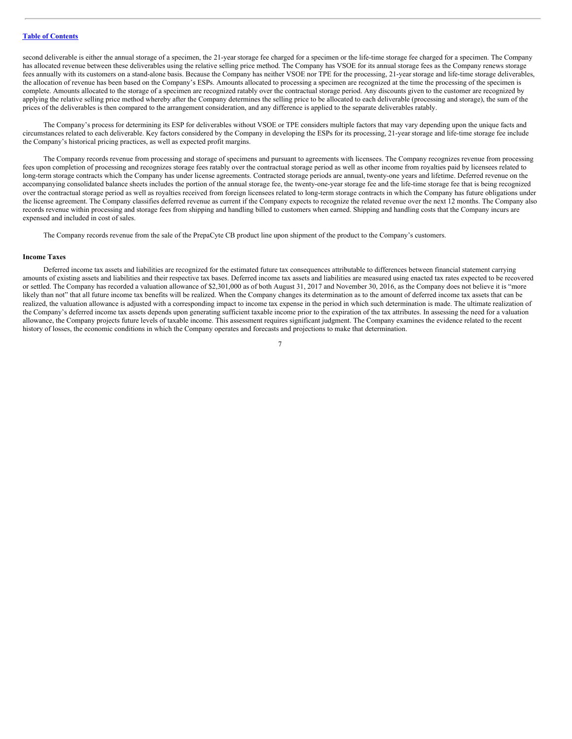second deliverable is either the annual storage of a specimen, the 21-year storage fee charged for a specimen or the life-time storage fee charged for a specimen. The Company has allocated revenue between these deliverables using the relative selling price method. The Company has VSOE for its annual storage fees as the Company renews storage fees annually with its customers on a stand-alone basis. Because the Company has neither VSOE nor TPE for the processing, 21-year storage and life-time storage deliverables, the allocation of revenue has been based on the Company's ESPs. Amounts allocated to processing a specimen are recognized at the time the processing of the specimen is complete. Amounts allocated to the storage of a specimen are recognized ratably over the contractual storage period. Any discounts given to the customer are recognized by applying the relative selling price method whereby after the Company determines the selling price to be allocated to each deliverable (processing and storage), the sum of the prices of the deliverables is then compared to the arrangement consideration, and any difference is applied to the separate deliverables ratably.

The Company's process for determining its ESP for deliverables without VSOE or TPE considers multiple factors that may vary depending upon the unique facts and circumstances related to each deliverable. Key factors considered by the Company in developing the ESPs for its processing, 21-year storage and life-time storage fee include the Company's historical pricing practices, as well as expected profit margins.

The Company records revenue from processing and storage of specimens and pursuant to agreements with licensees. The Company recognizes revenue from processing fees upon completion of processing and recognizes storage fees ratably over the contractual storage period as well as other income from royalties paid by licensees related to long-term storage contracts which the Company has under license agreements. Contracted storage periods are annual, twenty-one years and lifetime. Deferred revenue on the accompanying consolidated balance sheets includes the portion of the annual storage fee, the twenty-one-year storage fee and the life-time storage fee that is being recognized over the contractual storage period as well as royalties received from foreign licensees related to long-term storage contracts in which the Company has future obligations under the license agreement. The Company classifies deferred revenue as current if the Company expects to recognize the related revenue over the next 12 months. The Company also records revenue within processing and storage fees from shipping and handling billed to customers when earned. Shipping and handling costs that the Company incurs are expensed and included in cost of sales.

The Company records revenue from the sale of the PrepaCyte CB product line upon shipment of the product to the Company's customers.

#### **Income Taxes**

Deferred income tax assets and liabilities are recognized for the estimated future tax consequences attributable to differences between financial statement carrying amounts of existing assets and liabilities and their respective tax bases. Deferred income tax assets and liabilities are measured using enacted tax rates expected to be recovered or settled. The Company has recorded a valuation allowance of \$2,301,000 as of both August 31, 2017 and November 30, 2016, as the Company does not believe it is "more likely than not" that all future income tax benefits will be realized. When the Company changes its determination as to the amount of deferred income tax assets that can be realized, the valuation allowance is adjusted with a corresponding impact to income tax expense in the period in which such determination is made. The ultimate realization of the Company's deferred income tax assets depends upon generating sufficient taxable income prior to the expiration of the tax attributes. In assessing the need for a valuation allowance, the Company projects future levels of taxable income. This assessment requires significant judgment. The Company examines the evidence related to the recent history of losses, the economic conditions in which the Company operates and forecasts and projections to make that determination.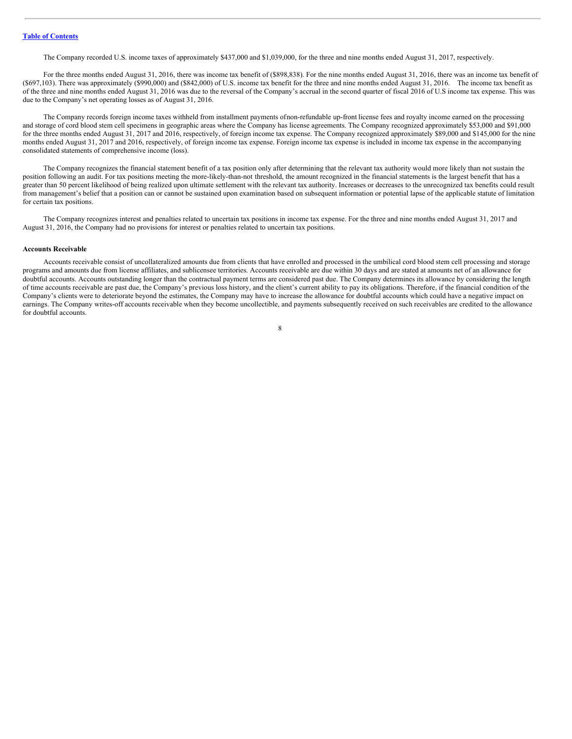The Company recorded U.S. income taxes of approximately \$437,000 and \$1,039,000, for the three and nine months ended August 31, 2017, respectively.

For the three months ended August 31, 2016, there was income tax benefit of (\$898,838). For the nine months ended August 31, 2016, there was an income tax benefit of (\$697,103). There was approximately (\$990,000) and (\$842,000) of U.S. income tax benefit for the three and nine months ended August 31, 2016. The income tax benefit as of the three and nine months ended August 31, 2016 was due to the reversal of the Company's accrual in the second quarter of fiscal 2016 of U.S income tax expense. This was due to the Company's net operating losses as of August 31, 2016.

The Company records foreign income taxes withheld from installment payments ofnon-refundable up-front license fees and royalty income earned on the processing and storage of cord blood stem cell specimens in geographic areas where the Company has license agreements. The Company recognized approximately \$53,000 and \$91,000 for the three months ended August 31, 2017 and 2016, respectively, of foreign income tax expense. The Company recognized approximately \$89,000 and \$145,000 for the nine months ended August 31, 2017 and 2016, respectively, of foreign income tax expense. Foreign income tax expense is included in income tax expense in the accompanying consolidated statements of comprehensive income (loss).

The Company recognizes the financial statement benefit of a tax position only after determining that the relevant tax authority would more likely than not sustain the position following an audit. For tax positions meeting the more-likely-than-not threshold, the amount recognized in the financial statements is the largest benefit that has a greater than 50 percent likelihood of being realized upon ultimate settlement with the relevant tax authority. Increases or decreases to the unrecognized tax benefits could result from management's belief that a position can or cannot be sustained upon examination based on subsequent information or potential lapse of the applicable statute of limitation for certain tax positions.

The Company recognizes interest and penalties related to uncertain tax positions in income tax expense. For the three and nine months ended August 31, 2017 and August 31, 2016, the Company had no provisions for interest or penalties related to uncertain tax positions.

#### **Accounts Receivable**

Accounts receivable consist of uncollateralized amounts due from clients that have enrolled and processed in the umbilical cord blood stem cell processing and storage programs and amounts due from license affiliates, and sublicensee territories. Accounts receivable are due within 30 days and are stated at amounts net of an allowance for doubtful accounts. Accounts outstanding longer than the contractual payment terms are considered past due. The Company determines its allowance by considering the length of time accounts receivable are past due, the Company's previous loss history, and the client's current ability to pay its obligations. Therefore, if the financial condition of the Company's clients were to deteriorate beyond the estimates, the Company may have to increase the allowance for doubtful accounts which could have a negative impact on earnings. The Company writes-off accounts receivable when they become uncollectible, and payments subsequently received on such receivables are credited to the allowance for doubtful accounts.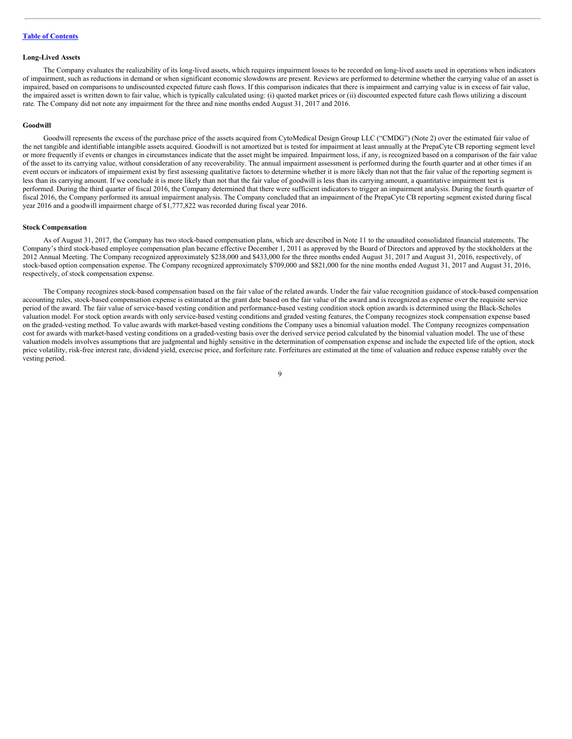#### **Long-Lived Assets**

The Company evaluates the realizability of its long-lived assets, which requires impairment losses to be recorded on long-lived assets used in operations when indicators of impairment, such as reductions in demand or when significant economic slowdowns are present. Reviews are performed to determine whether the carrying value of an asset is impaired, based on comparisons to undiscounted expected future cash flows. If this comparison indicates that there is impairment and carrying value is in excess of fair value, the impaired asset is written down to fair value, which is typically calculated using: (i) quoted market prices or (ii) discounted expected future cash flows utilizing a discount rate. The Company did not note any impairment for the three and nine months ended August 31, 2017 and 2016.

#### **Goodwill**

Goodwill represents the excess of the purchase price of the assets acquired from CytoMedical Design Group LLC ("CMDG") (Note 2) over the estimated fair value of the net tangible and identifiable intangible assets acquired. Goodwill is not amortized but is tested for impairment at least annually at the PrepaCyte CB reporting segment level or more frequently if events or changes in circumstances indicate that the asset might be impaired. Impairment loss, if any, is recognized based on a comparison of the fair value of the asset to its carrying value, without consideration of any recoverability. The annual impairment assessment is performed during the fourth quarter and at other times if an event occurs or indicators of impairment exist by first assessing qualitative factors to determine whether it is more likely than not that the fair value of the reporting segment is less than its carrying amount. If we conclude it is more likely than not that the fair value of goodwill is less than its carrying amount, a quantitative impairment test is performed. During the third quarter of fiscal 2016, the Company determined that there were sufficient indicators to trigger an impairment analysis. During the fourth quarter of fiscal 2016, the Company performed its annual impairment analysis. The Company concluded that an impairment of the PrepaCyte CB reporting segment existed during fiscal year 2016 and a goodwill impairment charge of \$1,777,822 was recorded during fiscal year 2016.

#### **Stock Compensation**

As of August 31, 2017, the Company has two stock-based compensation plans, which are described in Note 11 to the unaudited consolidated financial statements. The Company's third stock-based employee compensation plan became effective December 1, 2011 as approved by the Board of Directors and approved by the stockholders at the 2012 Annual Meeting. The Company recognized approximately \$238,000 and \$433,000 for the three months ended August 31, 2017 and August 31, 2016, respectively, of stock-based option compensation expense. The Company recognized approximately \$709,000 and \$821,000 for the nine months ended August 31, 2017 and August 31, 2016, respectively, of stock compensation expense.

The Company recognizes stock-based compensation based on the fair value of the related awards. Under the fair value recognition guidance of stock-based compensation accounting rules, stock-based compensation expense is estimated at the grant date based on the fair value of the award and is recognized as expense over the requisite service period of the award. The fair value of service-based vesting condition and performance-based vesting condition stock option awards is determined using the Black-Scholes valuation model. For stock option awards with only service-based vesting conditions and graded vesting features, the Company recognizes stock compensation expense based on the graded-vesting method. To value awards with market-based vesting conditions the Company uses a binomial valuation model. The Company recognizes compensation cost for awards with market-based vesting conditions on a graded-vesting basis over the derived service period calculated by the binomial valuation model. The use of these valuation models involves assumptions that are judgmental and highly sensitive in the determination of compensation expense and include the expected life of the option, stock price volatility, risk-free interest rate, dividend yield, exercise price, and forfeiture rate. Forfeitures are estimated at the time of valuation and reduce expense ratably over the vesting period.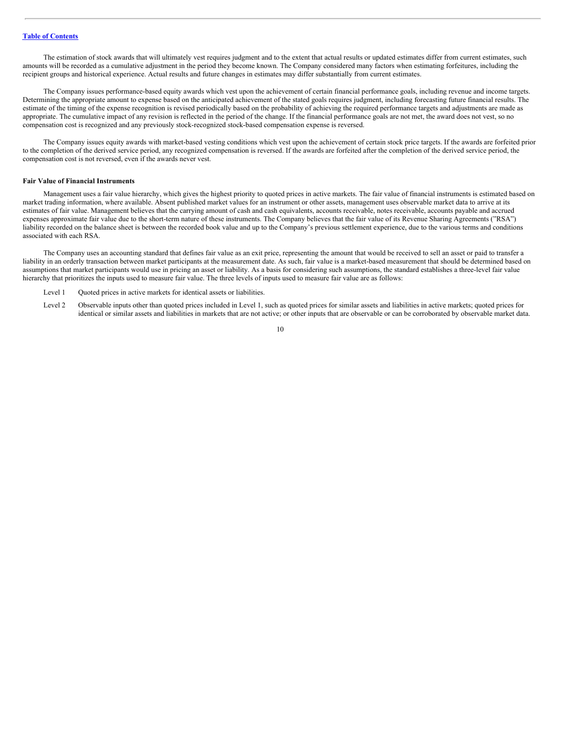The estimation of stock awards that will ultimately vest requires judgment and to the extent that actual results or updated estimates differ from current estimates, such amounts will be recorded as a cumulative adjustment in the period they become known. The Company considered many factors when estimating forfeitures, including the recipient groups and historical experience. Actual results and future changes in estimates may differ substantially from current estimates.

The Company issues performance-based equity awards which vest upon the achievement of certain financial performance goals, including revenue and income targets. Determining the appropriate amount to expense based on the anticipated achievement of the stated goals requires judgment, including forecasting future financial results. The estimate of the timing of the expense recognition is revised periodically based on the probability of achieving the required performance targets and adjustments are made as appropriate. The cumulative impact of any revision is reflected in the period of the change. If the financial performance goals are not met, the award does not vest, so no compensation cost is recognized and any previously stock-recognized stock-based compensation expense is reversed.

The Company issues equity awards with market-based vesting conditions which vest upon the achievement of certain stock price targets. If the awards are forfeited prior to the completion of the derived service period, any recognized compensation is reversed. If the awards are forfeited after the completion of the derived service period, the compensation cost is not reversed, even if the awards never vest.

#### **Fair Value of Financial Instruments**

Management uses a fair value hierarchy, which gives the highest priority to quoted prices in active markets. The fair value of financial instruments is estimated based on market trading information, where available. Absent published market values for an instrument or other assets, management uses observable market data to arrive at its estimates of fair value. Management believes that the carrying amount of cash and cash equivalents, accounts receivable, notes receivable, accounts payable and accrued expenses approximate fair value due to the short-term nature of these instruments. The Company believes that the fair value of its Revenue Sharing Agreements ("RSA") liability recorded on the balance sheet is between the recorded book value and up to the Company's previous settlement experience, due to the various terms and conditions associated with each RSA.

The Company uses an accounting standard that defines fair value as an exit price, representing the amount that would be received to sell an asset or paid to transfer a liability in an orderly transaction between market participants at the measurement date. As such, fair value is a market-based measurement that should be determined based on assumptions that market participants would use in pricing an asset or liability. As a basis for considering such assumptions, the standard establishes a three-level fair value hierarchy that prioritizes the inputs used to measure fair value. The three levels of inputs used to measure fair value are as follows:

- Level 1 Quoted prices in active markets for identical assets or liabilities.
- Level 2 Observable inputs other than quoted prices included in Level 1, such as quoted prices for similar assets and liabilities in active markets; quoted prices for identical or similar assets and liabilities in markets that are not active; or other inputs that are observable or can be corroborated by observable market data.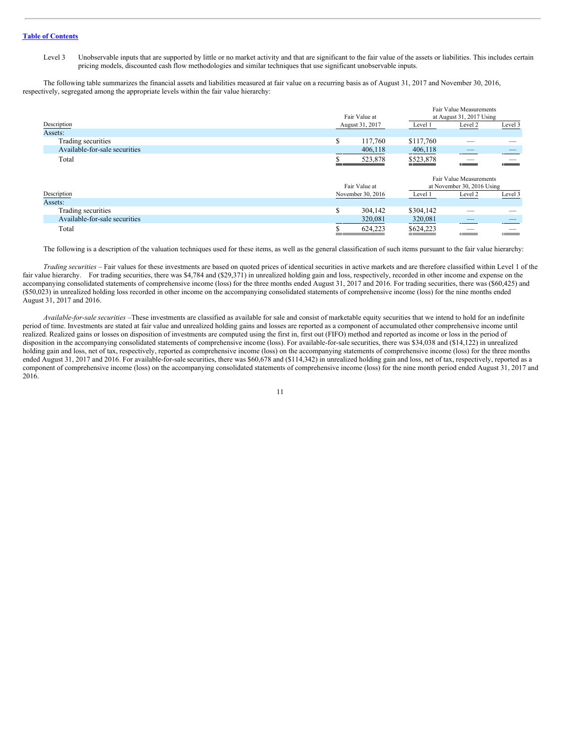Level 3 Unobservable inputs that are supported by little or no market activity and that are significant to the fair value of the assets or liabilities. This includes certain pricing models, discounted cash flow methodologies and similar techniques that use significant unobservable inputs.

The following table summarizes the financial assets and liabilities measured at fair value on a recurring basis as of August 31, 2017 and November 30, 2016, respectively, segregated among the appropriate levels within the fair value hierarchy:

|                               |                   |           | Fair Value Measurements                               |         |
|-------------------------------|-------------------|-----------|-------------------------------------------------------|---------|
|                               | Fair Value at     |           | at August 31, 2017 Using                              |         |
| Description                   | August 31, 2017   | Level 1   | Level 2                                               | Level 3 |
| Assets:                       |                   |           |                                                       |         |
| Trading securities            | \$<br>117,760     | \$117,760 |                                                       |         |
| Available-for-sale securities | 406,118           | 406,118   |                                                       |         |
| Total                         | 523,878           | \$523,878 |                                                       |         |
|                               | Fair Value at     |           | Fair Value Measurements<br>at November 30, 2016 Using |         |
| Description                   | November 30, 2016 | Level 1   | Level 2                                               | Level 3 |
| Assets:                       |                   |           |                                                       |         |
| Trading securities            | S<br>304,142      | \$304,142 |                                                       |         |
| Available-for-sale securities | 320,081           | 320,081   |                                                       |         |
| Total                         | 624,223           | \$624,223 |                                                       |         |

The following is a description of the valuation techniques used for these items, as well as the general classification of such items pursuant to the fair value hierarchy:

*Trading securities* – Fair values for these investments are based on quoted prices of identical securities in active markets and are therefore classified within Level 1 of the fair value hierarchy. For trading securities, there was \$4,784 and (\$29,371) in unrealized holding gain and loss, respectively, recorded in other income and expense on the accompanying consolidated statements of comprehensive income (loss) for the three months ended August 31, 2017 and 2016. For trading securities, there was (\$60,425) and (\$50,023) in unrealized holding loss recorded in other income on the accompanying consolidated statements of comprehensive income (loss) for the nine months ended August 31, 2017 and 2016.

*Available-for-sale securities –*These investments are classified as available for sale and consist of marketable equity securities that we intend to hold for an indefinite period of time. Investments are stated at fair value and unrealized holding gains and losses are reported as a component of accumulated other comprehensive income until realized. Realized gains or losses on disposition of investments are computed using the first in, first out (FIFO) method and reported as income or loss in the period of disposition in the accompanying consolidated statements of comprehensive income (loss). For available-for-sale securities, there was \$34,038 and (\$14,122) in unrealized holding gain and loss, net of tax, respectively, reported as comprehensive income (loss) on the accompanying statements of comprehensive income (loss) for the three months ended August 31, 2017 and 2016. For available-for-sale securities, there was \$60,678 and (\$114,342) in unrealized holding gain and loss, net of tax, respectively, reported as a component of comprehensive income (loss) on the accompanying consolidated statements of comprehensive income (loss) for the nine month period ended August 31, 2017 and 2016.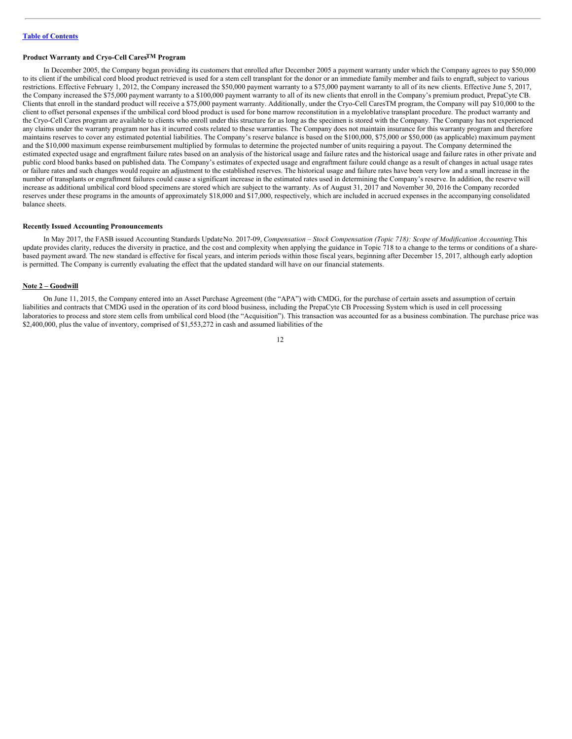#### **Product Warranty and Cryo-Cell CaresTM Program**

In December 2005, the Company began providing its customers that enrolled after December 2005 a payment warranty under which the Company agrees to pay \$50,000 to its client if the umbilical cord blood product retrieved is used for a stem cell transplant for the donor or an immediate family member and fails to engraft, subject to various restrictions. Effective February 1, 2012, the Company increased the \$50,000 payment warranty to a \$75,000 payment warranty to all of its new clients. Effective June 5, 2017, the Company increased the \$75,000 payment warranty to a \$100,000 payment warranty to all of its new clients that enroll in the Company's premium product, PrepaCyte CB. Clients that enroll in the standard product will receive a \$75,000 payment warranty. Additionally, under the Cryo-Cell CaresTM program, the Company will pay \$10,000 to the client to offset personal expenses if the umbilical cord blood product is used for bone marrow reconstitution in a myeloblative transplant procedure. The product warranty and the Cryo-Cell Cares program are available to clients who enroll under this structure for as long as the specimen is stored with the Company. The Company has not experienced any claims under the warranty program nor has it incurred costs related to these warranties. The Company does not maintain insurance for this warranty program and therefore maintains reserves to cover any estimated potential liabilities. The Company's reserve balance is based on the \$100,000, \$75,000 or \$50,000 (as applicable) maximum payment and the \$10,000 maximum expense reimbursement multiplied by formulas to determine the projected number of units requiring a payout. The Company determined the estimated expected usage and engraftment failure rates based on an analysis of the historical usage and failure rates and the historical usage and failure rates in other private and public cord blood banks based on published data. The Company's estimates of expected usage and engraftment failure could change as a result of changes in actual usage rates or failure rates and such changes would require an adjustment to the established reserves. The historical usage and failure rates have been very low and a small increase in the number of transplants or engraftment failures could cause a significant increase in the estimated rates used in determining the Company's reserve. In addition, the reserve will increase as additional umbilical cord blood specimens are stored which are subject to the warranty. As of August 31, 2017 and November 30, 2016 the Company recorded reserves under these programs in the amounts of approximately \$18,000 and \$17,000, respectively, which are included in accrued expenses in the accompanying consolidated balance sheets.

#### **Recently Issued Accounting Pronouncements**

In May 2017, the FASB issued Accounting Standards UpdateNo. 2017-09, *Compensation – Stock Compensation (Topic 718): Scope of Modification Accounting.*This update provides clarity, reduces the diversity in practice, and the cost and complexity when applying the guidance in Topic 718 to a change to the terms or conditions of a sharebased payment award. The new standard is effective for fiscal years, and interim periods within those fiscal years, beginning after December 15, 2017, although early adoption is permitted. The Company is currently evaluating the effect that the updated standard will have on our financial statements.

#### **Note 2 – Goodwill**

On June 11, 2015, the Company entered into an Asset Purchase Agreement (the "APA") with CMDG, for the purchase of certain assets and assumption of certain liabilities and contracts that CMDG used in the operation of its cord blood business, including the PrepaCyte CB Processing System which is used in cell processing laboratories to process and store stem cells from umbilical cord blood (the "Acquisition"). This transaction was accounted for as a business combination. The purchase price was \$2,400,000, plus the value of inventory, comprised of \$1,553,272 in cash and assumed liabilities of the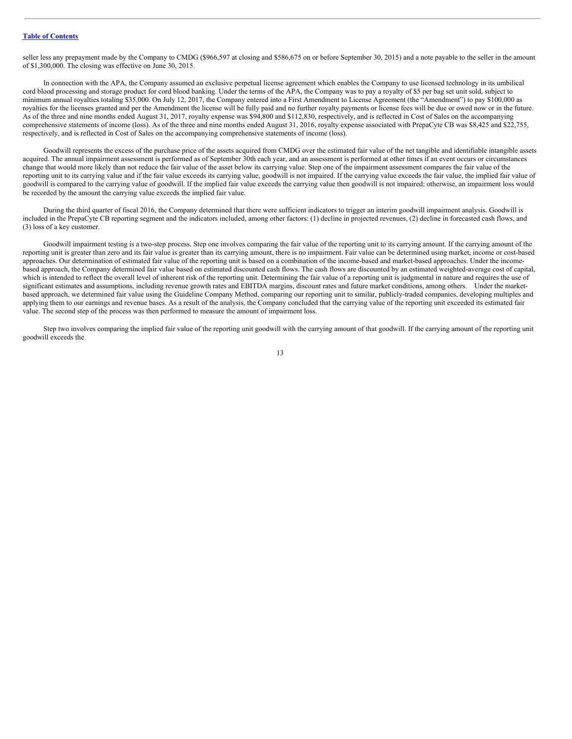seller less any prepayment made by the Company to CMDG (\$966,597 at closing and \$586,675 on or before September 30, 2015) and a note payable to the seller in the amount of \$1,300,000. The closing was effective on June 30, 2015.

In connection with the APA, the Company assumed an exclusive perpetual license agreement which enables the Company to use licensed technology in its umbilical cord blood processing and storage product for cord blood banking. Under the terms of the APA, the Company was to pay a royalty of \$5 per bag set unit sold, subject to minimum annual royalties totaling \$35,000. On July 12, 2017, the Company entered into a First Amendment to License Agreement (the "Amendment") to pay \$100,000 as royalties for the licenses granted and per the Amendment the license will be fully paid and no further royalty payments or license fees will be due or owed now or in the future. As of the three and nine months ended August 31, 2017, royalty expense was \$94,800 and \$112,830, respectively, and is reflected in Cost of Sales on the accompanying comprehensive statements of income (loss). As of the three and nine months ended August 31, 2016, royalty expense associated with PrepaCyte CB was \$8,425 and \$22,755, respectively, and is reflected in Cost of Sales on the accompanying comprehensive statements of income (loss).

Goodwill represents the excess of the purchase price of the assets acquired from CMDG over the estimated fair value of the net tangible and identifiable intangible assets acquired. The annual impairment assessment is performed as of September 30th each year, and an assessment is performed at other times if an event occurs or circumstances change that would more likely than not reduce the fair value of the asset below its carrying value. Step one of the impairment assessment compares the fair value of the reporting unit to its carrying value and if the fair value exceeds its carrying value, goodwill is not impaired. If the carrying value exceeds the fair value, the implied fair value of goodwill is compared to the carrying value of goodwill. If the implied fair value exceeds the carrying value then goodwill is not impaired; otherwise, an impairment loss would be recorded by the amount the carrying value exceeds the implied fair value.

During the third quarter of fiscal 2016, the Company determined that there were sufficient indicators to trigger an interim goodwill impairment analysis. Goodwill is included in the PrepaCyte CB reporting segment and the indicators included, among other factors: (1) decline in projected revenues, (2) decline in forecasted cash flows, and (3) loss of a key customer.

Goodwill impairment testing is a two-step process. Step one involves comparing the fair value of the reporting unit to its carrying amount. If the carrying amount of the reporting unit is greater than zero and its fair value is greater than its carrying amount, there is no impairment. Fair value can be determined using market, income or cost-based approaches. Our determination of estimated fair value of the reporting unit is based on a combination of the income-based and market-based approaches. Under the incomebased approach, the Company determined fair value based on estimated discounted cash flows. The cash flows are discounted by an estimated weighted-average cost of capital, which is intended to reflect the overall level of inherent risk of the reporting unit. Determining the fair value of a reporting unit is judgmental in nature and requires the use of significant estimates and assumptions, including revenue growth rates and EBITDA margins, discount rates and future market conditions, among others. Under the marketbased approach, we determined fair value using the Guideline Company Method, comparing our reporting unit to similar, publicly-traded companies, developing multiples and applying them to our earnings and revenue bases. As a result of the analysis, the Company concluded that the carrying value of the reporting unit exceeded its estimated fair value. The second step of the process was then performed to measure the amount of impairment loss.

Step two involves comparing the implied fair value of the reporting unit goodwill with the carrying amount of that goodwill. If the carrying amount of the reporting unit goodwill exceeds the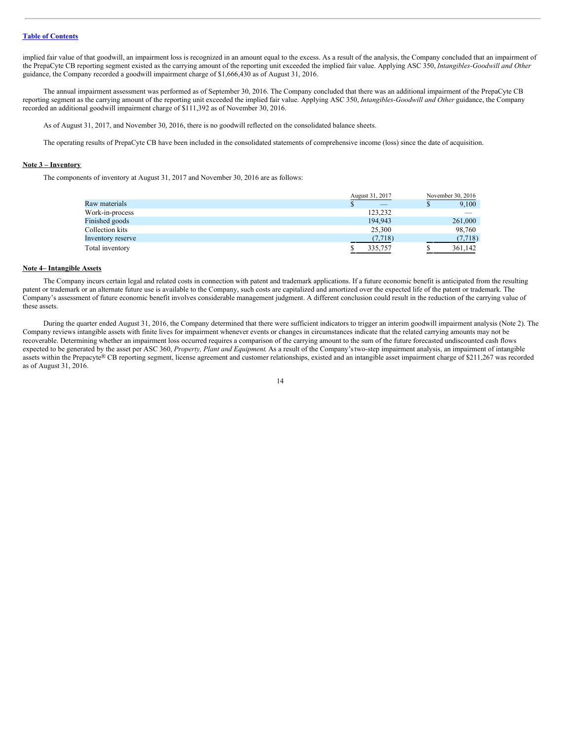implied fair value of that goodwill, an impairment loss is recognized in an amount equal to the excess. As a result of the analysis, the Company concluded that an impairment of the PrepaCyte CB reporting segment existed as the carrying amount of the reporting unit exceeded the implied fair value. Applying ASC 350, *Intangibles-Goodwill and Other* guidance, the Company recorded a goodwill impairment charge of \$1,666,430 as of August 31, 2016.

The annual impairment assessment was performed as of September 30, 2016. The Company concluded that there was an additional impairment of the PrepaCyte CB reporting segment as the carrying amount of the reporting unit exceeded the implied fair value. Applying ASC 350, *Intangibles-Goodwill and Other* guidance, the Company recorded an additional goodwill impairment charge of \$111,392 as of November 30, 2016.

As of August 31, 2017, and November 30, 2016, there is no goodwill reflected on the consolidated balance sheets.

The operating results of PrepaCyte CB have been included in the consolidated statements of comprehensive income (loss) since the date of acquisition.

#### **Note 3 – Inventory**

The components of inventory at August 31, 2017 and November 30, 2016 are as follows:

|                   | August 31, 2017 | November 30, 2016 |
|-------------------|-----------------|-------------------|
| Raw materials     | _               | 9,100             |
| Work-in-process   | 123.232         |                   |
| Finished goods    | 194.943         | 261,000           |
| Collection kits   | 25,300          | 98,760            |
| Inventory reserve | (7, 718)        | (7,718)           |
| Total inventory   | 335,757         | 361,142           |

#### **Note 4– Intangible Assets**

The Company incurs certain legal and related costs in connection with patent and trademark applications. If a future economic benefit is anticipated from the resulting patent or trademark or an alternate future use is available to the Company, such costs are capitalized and amortized over the expected life of the patent or trademark. The Company's assessment of future economic benefit involves considerable management judgment. A different conclusion could result in the reduction of the carrying value of these assets.

During the quarter ended August 31, 2016, the Company determined that there were sufficient indicators to trigger an interim goodwill impairment analysis (Note 2). The Company reviews intangible assets with finite lives for impairment whenever events or changes in circumstances indicate that the related carrying amounts may not be recoverable. Determining whether an impairment loss occurred requires a comparison of the carrying amount to the sum of the future forecasted undiscounted cash flows expected to be generated by the asset per ASC 360, *Property, Plant and Equipment*. As a result of the Company'stwo-step impairment analysis, an impairment of intangible assets within the Prepacyte® CB reporting segment, license agreement and customer relationships, existed and an intangible asset impairment charge of \$211,267 was recorded as of August 31, 2016.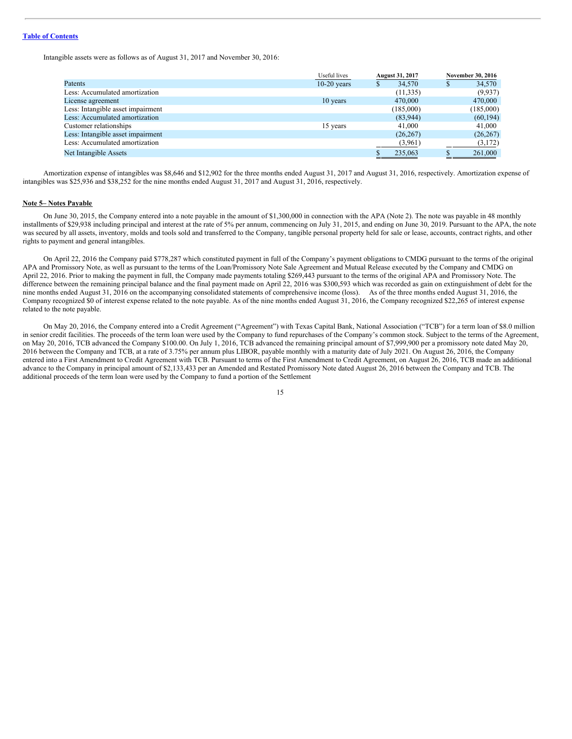Intangible assets were as follows as of August 31, 2017 and November 30, 2016:

|                                   | Useful lives  | <b>August 31, 2017</b> | <b>November 30, 2016</b> |
|-----------------------------------|---------------|------------------------|--------------------------|
| Patents                           | $10-20$ years | 34,570<br>D.           | 34,570                   |
| Less: Accumulated amortization    |               | (11, 335)              | (9,937)                  |
| License agreement                 | 10 years      | 470,000                | 470,000                  |
| Less: Intangible asset impairment |               | (185,000)              | (185,000)                |
| Less: Accumulated amortization    |               | (83,944)               | (60, 194)                |
| Customer relationships            | 15 years      | 41,000                 | 41,000                   |
| Less: Intangible asset impairment |               | (26, 267)              | (26, 267)                |
| Less: Accumulated amortization    |               | (3,961)                | (3,172)                  |
| Net Intangible Assets             |               | 235,063                | 261,000                  |

Amortization expense of intangibles was \$8,646 and \$12,902 for the three months ended August 31, 2017 and August 31, 2016, respectively. Amortization expense of intangibles was \$25,936 and \$38,252 for the nine months ended August 31, 2017 and August 31, 2016, respectively.

#### **Note 5– Notes Payable**

On June 30, 2015, the Company entered into a note payable in the amount of \$1,300,000 in connection with the APA (Note 2). The note was payable in 48 monthly installments of \$29,938 including principal and interest at the rate of 5% per annum, commencing on July 31, 2015, and ending on June 30, 2019. Pursuant to the APA, the note was secured by all assets, inventory, molds and tools sold and transferred to the Company, tangible personal property held for sale or lease, accounts, contract rights, and other rights to payment and general intangibles.

On April 22, 2016 the Company paid \$778,287 which constituted payment in full of the Company's payment obligations to CMDG pursuant to the terms of the original APA and Promissory Note, as well as pursuant to the terms of the Loan/Promissory Note Sale Agreement and Mutual Release executed by the Company and CMDG on April 22, 2016. Prior to making the payment in full, the Company made payments totaling \$269,443 pursuant to the terms of the original APA and Promissory Note. The difference between the remaining principal balance and the final payment made on April 22, 2016 was \$300,593 which was recorded as gain on extinguishment of debt for the nine months ended August 31, 2016 on the accompanying consolidated statements of comprehensive income (loss). As of the three months ended August 31, 2016, the Company recognized \$0 of interest expense related to the note payable. As of the nine months ended August 31, 2016, the Company recognized \$22,265 of interest expense related to the note payable.

On May 20, 2016, the Company entered into a Credit Agreement ("Agreement") with Texas Capital Bank, National Association ("TCB") for a term loan of \$8.0 million in senior credit facilities. The proceeds of the term loan were used by the Company to fund repurchases of the Company's common stock. Subject to the terms of the Agreement, on May 20, 2016, TCB advanced the Company \$100.00. On July 1, 2016, TCB advanced the remaining principal amount of \$7,999,900 per a promissory note dated May 20, 2016 between the Company and TCB, at a rate of 3.75% per annum plus LIBOR, payable monthly with a maturity date of July 2021. On August 26, 2016, the Company entered into a First Amendment to Credit Agreement with TCB. Pursuant to terms of the First Amendment to Credit Agreement, on August 26, 2016, TCB made an additional advance to the Company in principal amount of \$2,133,433 per an Amended and Restated Promissory Note dated August 26, 2016 between the Company and TCB. The additional proceeds of the term loan were used by the Company to fund a portion of the Settlement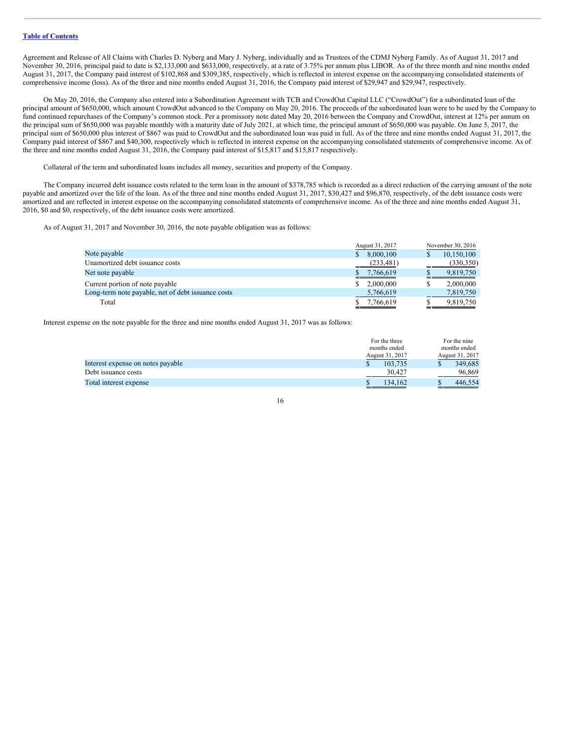Agreement and Release of All Claims with Charles D. Nyberg and Mary J. Nyberg, individually and as Trustees of the CDMJ Nyberg Family. As of August 31, 2017 and November 30, 2016, principal paid to date is \$2,133,000 and \$633,000, respectively, at a rate of 3.75% per annum plus LIBOR. As of the three month and nine months ended August 31, 2017, the Company paid interest of \$102,868 and \$309,385, respectively, which is reflected in interest expense on the accompanying consolidated statements of comprehensive income (loss). As of the three and nine months ended August 31, 2016, the Company paid interest of \$29,947 and \$29,947, respectively.

On May 20, 2016, the Company also entered into a Subordination Agreement with TCB and CrowdOut Capital LLC ("CrowdOut") for a subordinated loan of the principal amount of \$650,000, which amount CrowdOut advanced to the Company on May 20, 2016. The proceeds of the subordinated loan were to be used by the Company to fund continued repurchases of the Company's common stock. Per a promissory note dated May 20, 2016 between the Company and CrowdOut, interest at 12% per annum on the principal sum of \$650,000 was payable monthly with a maturity date of July 2021, at which time, the principal amount of \$650,000 was payable. On June 5, 2017, the principal sum of \$650,000 plus interest of \$867 was paid to CrowdOut and the subordinated loan was paid in full. As of the three and nine months ended August 31, 2017, the Company paid interest of \$867 and \$40,300, respectively which is reflected in interest expense on the accompanying consolidated statements of comprehensive income. As of the three and nine months ended August 31, 2016, the Company paid interest of \$15,817 and \$15,817 respectively.

Collateral of the term and subordinated loans includes all money, securities and property of the Company.

The Company incurred debt issuance costs related to the term loan in the amount of \$378,785 which is recorded as a direct reduction of the carrying amount of the note payable and amortized over the life of the loan. As of the three and nine months ended August 31, 2017, \$30,427 and \$96,870, respectively, of the debt issuance costs were amortized and are reflected in interest expense on the accompanying consolidated statements of comprehensive income. As of the three and nine months ended August 31, 2016, \$0 and \$0, respectively, of the debt issuance costs were amortized.

As of August 31, 2017 and November 30, 2016, the note payable obligation was as follows:

|                                                    | August 31, 2017 | November 30, 2016 |
|----------------------------------------------------|-----------------|-------------------|
| Note payable                                       | 8,000,100       | 10,150,100        |
| Unamortized debt issuance costs                    | (233, 481)      | (330, 350)        |
| Net note payable                                   | 7,766,619       | 9,819,750         |
| Current portion of note payable                    | 2,000,000       | 2,000,000         |
| Long-term note payable, net of debt issuance costs | 5,766,619       | 7,819,750         |
| Total                                              | 7.766.619       | 9,819,750         |

Interest expense on the note payable for the three and nine months ended August 31, 2017 was as follows:

|                                   | For the three   | For the nine    |
|-----------------------------------|-----------------|-----------------|
|                                   | months ended    | months ended    |
|                                   | August 31, 2017 | August 31, 2017 |
| Interest expense on notes payable | 103.735         | 349.685         |
| Debt issuance costs               | 30.427          | 96.869          |
| Total interest expense            | 134.162         | 446.554         |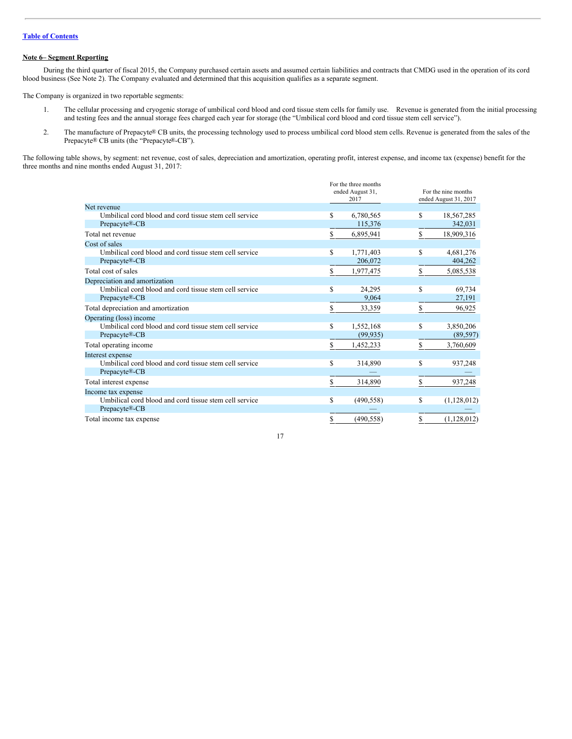# **Note 6– Segment Reporting**

During the third quarter of fiscal 2015, the Company purchased certain assets and assumed certain liabilities and contracts that CMDG used in the operation of its cord blood business (See Note 2). The Company evaluated and determined that this acquisition qualifies as a separate segment.

The Company is organized in two reportable segments:

- 1. The cellular processing and cryogenic storage of umbilical cord blood and cord tissue stem cells for family use. Revenue is generated from the initial processing and testing fees and the annual storage fees charged each year for storage (the "Umbilical cord blood and cord tissue stem cell service").
- 2. The manufacture of Prepacyte® CB units, the processing technology used to process umbilical cord blood stem cells. Revenue is generated from the sales of the Prepacyte® CB units (the "Prepacyte®-CB").

The following table shows, by segment: net revenue, cost of sales, depreciation and amortization, operating profit, interest expense, and income tax (expense) benefit for the three months and nine months ended August 31, 2017:

|                                                        | For the three months<br>ended August 31,<br>2017 |            |    | For the nine months<br>ended August 31, 2017 |
|--------------------------------------------------------|--------------------------------------------------|------------|----|----------------------------------------------|
| Net revenue                                            |                                                  |            |    |                                              |
| Umbilical cord blood and cord tissue stem cell service | \$                                               | 6,780,565  | S  | 18,567,285                                   |
| Prepacyte®-CB                                          |                                                  | 115,376    |    | 342,031                                      |
| Total net revenue                                      | \$                                               | 6,895,941  | S  | 18,909,316                                   |
| Cost of sales                                          |                                                  |            |    |                                              |
| Umbilical cord blood and cord tissue stem cell service | \$                                               | 1,771,403  | S  | 4,681,276                                    |
| Prepacyte <sup>®</sup> -CB                             |                                                  | 206,072    |    | 404,262                                      |
| Total cost of sales                                    | \$                                               | 1,977,475  |    | 5,085,538                                    |
| Depreciation and amortization                          |                                                  |            |    |                                              |
| Umbilical cord blood and cord tissue stem cell service | \$                                               | 24,295     | S  | 69,734                                       |
| Prepacyte®-CB                                          |                                                  | 9.064      |    | 27,191                                       |
| Total depreciation and amortization                    | \$                                               | 33,359     | \$ | 96,925                                       |
| Operating (loss) income                                |                                                  |            |    |                                              |
| Umbilical cord blood and cord tissue stem cell service | \$                                               | 1,552,168  | S  | 3,850,206                                    |
| Prepacyte <sup>®</sup> -CB                             |                                                  | (99, 935)  |    | (89, 597)                                    |
| Total operating income                                 | \$                                               | 1,452,233  | S. | 3,760,609                                    |
| Interest expense                                       |                                                  |            |    |                                              |
| Umbilical cord blood and cord tissue stem cell service | S                                                | 314,890    | S  | 937,248                                      |
| Prepacyte®-CB                                          |                                                  |            |    |                                              |
| Total interest expense                                 | \$                                               | 314,890    |    | 937,248                                      |
| Income tax expense                                     |                                                  |            |    |                                              |
| Umbilical cord blood and cord tissue stem cell service | \$                                               | (490, 558) | S  | (1,128,012)                                  |
| Prepacyte <sup>®</sup> -CB                             |                                                  |            |    |                                              |
| Total income tax expense                               | \$                                               | (490, 558) | \$ | (1, 128, 012)                                |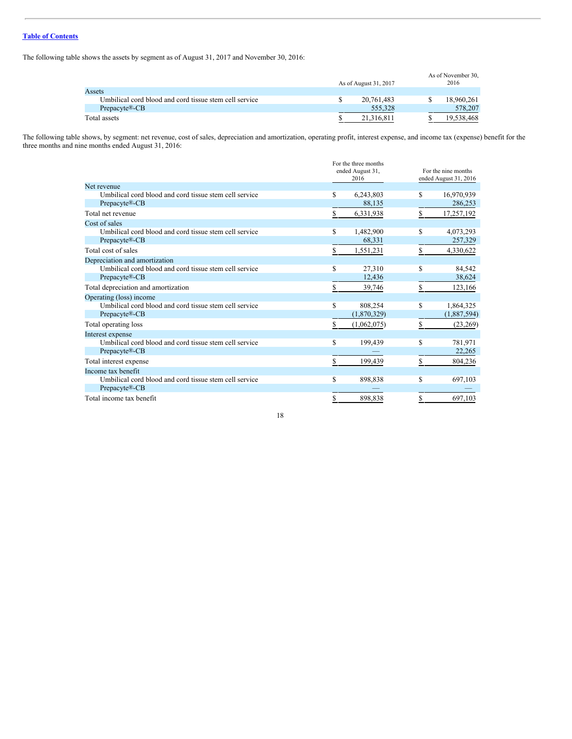The following table shows the assets by segment as of August 31, 2017 and November 30, 2016:

|                                                        |   | As of August 31, 2017 | As of November 30,<br>2016 |
|--------------------------------------------------------|---|-----------------------|----------------------------|
| Assets                                                 |   |                       |                            |
| Umbilical cord blood and cord tissue stem cell service | S | 20.761.483            | 18,960,261                 |
| Prepacyte <sup>®</sup> -CB                             |   | 555.328               | 578,207                    |
| Total assets                                           |   | 21.316.811            | 19.538.468                 |

The following table shows, by segment: net revenue, cost of sales, depreciation and amortization, operating profit, interest expense, and income tax (expense) benefit for the three months and nine months ended August 31, 2016:

|                                                        | For the three months<br>ended August 31,<br>2016 |    | For the nine months<br>ended August 31, 2016 |
|--------------------------------------------------------|--------------------------------------------------|----|----------------------------------------------|
| Net revenue                                            |                                                  |    |                                              |
| Umbilical cord blood and cord tissue stem cell service | \$<br>6,243,803                                  | S  | 16,970,939                                   |
| Prepacyte <sup>®</sup> -CB                             | 88,135                                           |    | 286,253                                      |
| Total net revenue                                      | \$<br>6,331,938                                  | S. | 17,257,192                                   |
| Cost of sales                                          |                                                  |    |                                              |
| Umbilical cord blood and cord tissue stem cell service | \$<br>1,482,900                                  | S  | 4,073,293                                    |
| Prepacyte®-CB                                          | 68,331                                           |    | 257,329                                      |
| Total cost of sales                                    | \$<br>1,551,231                                  | S  | 4,330,622                                    |
| Depreciation and amortization                          |                                                  |    |                                              |
| Umbilical cord blood and cord tissue stem cell service | \$<br>27,310                                     | S  | 84,542                                       |
| Prepacyte®-CB                                          | 12,436                                           |    | 38,624                                       |
| Total depreciation and amortization                    | \$<br>39,746                                     | \$ | 123,166                                      |
| Operating (loss) income                                |                                                  |    |                                              |
| Umbilical cord blood and cord tissue stem cell service | \$<br>808,254                                    | S  | 1,864,325                                    |
| Prepacyte <sup>®</sup> -CB                             | (1,870,329)                                      |    | (1,887,594)                                  |
| Total operating loss                                   | \$<br>(1,062,075)                                | \$ | (23,269)                                     |
| Interest expense                                       |                                                  |    |                                              |
| Umbilical cord blood and cord tissue stem cell service | \$<br>199,439                                    | S  | 781,971                                      |
| Prepacyte <sup>®</sup> -CB                             |                                                  |    | 22,265                                       |
| Total interest expense                                 | \$<br>199,439                                    | S  | 804,236                                      |
| Income tax benefit                                     |                                                  |    |                                              |
| Umbilical cord blood and cord tissue stem cell service | \$<br>898,838                                    | S  | 697,103                                      |
| Prepacyte <sup>®</sup> -CB                             |                                                  |    |                                              |
| Total income tax benefit                               | \$<br>898,838                                    | \$ | 697,103                                      |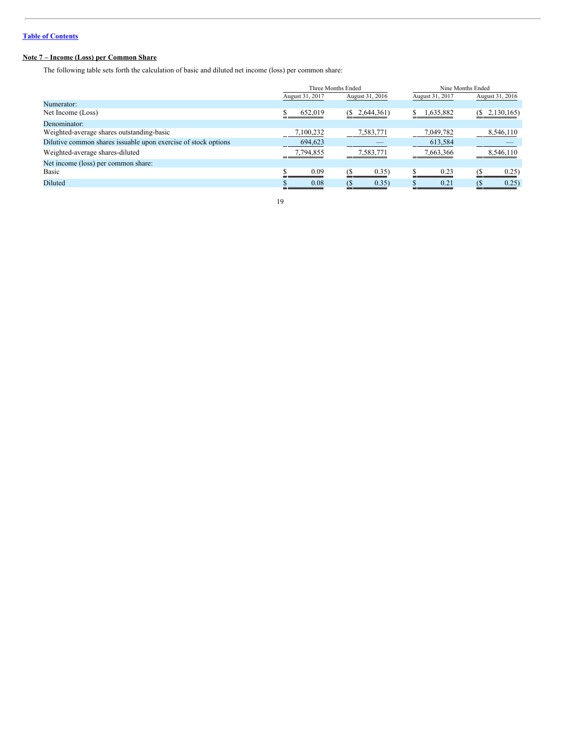# **Note 7 – Income (Loss) per Common Share**

The following table sets forth the calculation of basic and diluted net income (loss) per common share:

|                                                                |                 | Three Months Ended | Nine Months Ended |                 |  |  |
|----------------------------------------------------------------|-----------------|--------------------|-------------------|-----------------|--|--|
|                                                                | August 31, 2017 | August 31, 2016    | August 31, 2017   | August 31, 2016 |  |  |
| Numerator:                                                     |                 |                    |                   |                 |  |  |
| Net Income (Loss)                                              | 652,019         | $(\$ 2,644,361)$   | 1,635,882         | 2,130,165       |  |  |
| Denominator:                                                   |                 |                    |                   |                 |  |  |
| Weighted-average shares outstanding-basic                      | 7,100,232       | 7,583,771          | 7,049,782         | 8,546,110       |  |  |
| Dilutive common shares issuable upon exercise of stock options | 694,623         |                    | 613,584           |                 |  |  |
| Weighted-average shares-diluted                                | 7,794,855       | 7,583,771          | 7,663,366         | 8,546,110       |  |  |
| Net income (loss) per common share:                            |                 |                    |                   |                 |  |  |
| Basic                                                          | 0.09            | (0.35)             | 0.23              | 0.25)           |  |  |
| <b>Diluted</b>                                                 | 0.08            | (0.35)             | 0.21              | 0.25)           |  |  |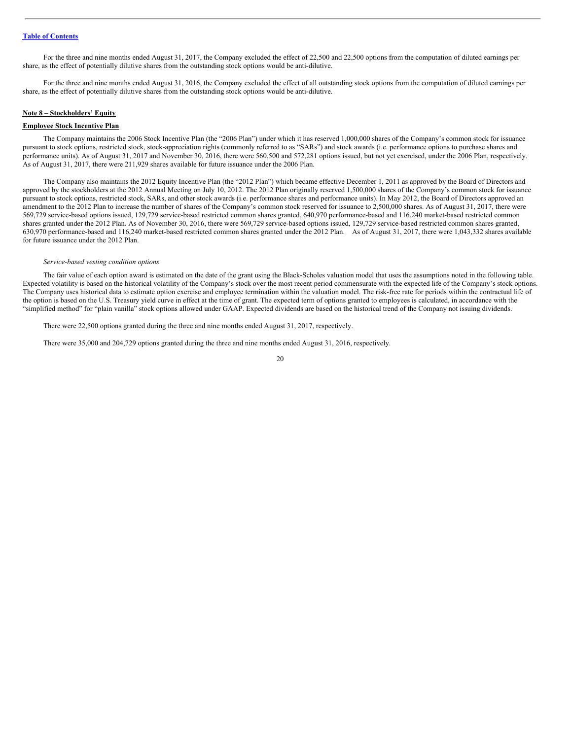For the three and nine months ended August 31, 2017, the Company excluded the effect of 22,500 and 22,500 options from the computation of diluted earnings per share, as the effect of potentially dilutive shares from the outstanding stock options would be anti-dilutive.

For the three and nine months ended August 31, 2016, the Company excluded the effect of all outstanding stock options from the computation of diluted earnings per share, as the effect of potentially dilutive shares from the outstanding stock options would be anti-dilutive.

#### **Note 8 – Stockholders' Equity**

#### **Employee Stock Incentive Plan**

The Company maintains the 2006 Stock Incentive Plan (the "2006 Plan") under which it has reserved 1,000,000 shares of the Company's common stock for issuance pursuant to stock options, restricted stock, stock-appreciation rights (commonly referred to as "SARs") and stock awards (i.e. performance options to purchase shares and performance units). As of August 31, 2017 and November 30, 2016, there were 560,500 and 572,281 options issued, but not yet exercised, under the 2006 Plan, respectively. As of August 31, 2017, there were 211,929 shares available for future issuance under the 2006 Plan.

The Company also maintains the 2012 Equity Incentive Plan (the "2012 Plan") which became effective December 1, 2011 as approved by the Board of Directors and approved by the stockholders at the 2012 Annual Meeting on July 10, 2012. The 2012 Plan originally reserved 1,500,000 shares of the Company's common stock for issuance pursuant to stock options, restricted stock, SARs, and other stock awards (i.e. performance shares and performance units). In May 2012, the Board of Directors approved an amendment to the 2012 Plan to increase the number of shares of the Company's common stock reserved for issuance to 2,500,000 shares. As of August 31, 2017, there were 569,729 service-based options issued, 129,729 service-based restricted common shares granted, 640,970 performance-based and 116,240 market-based restricted common shares granted under the 2012 Plan. As of November 30, 2016, there were 569,729 service-based options issued, 129,729 service-based restricted common shares granted, 630,970 performance-based and 116,240 market-based restricted common shares granted under the 2012 Plan. As of August 31, 2017, there were 1,043,332 shares available for future issuance under the 2012 Plan.

#### *Service-based vesting condition options*

The fair value of each option award is estimated on the date of the grant using the Black-Scholes valuation model that uses the assumptions noted in the following table. Expected volatility is based on the historical volatility of the Company's stock over the most recent period commensurate with the expected life of the Company's stock options. The Company uses historical data to estimate option exercise and employee termination within the valuation model. The risk-free rate for periods within the contractual life of the option is based on the U.S. Treasury yield curve in effect at the time of grant. The expected term of options granted to employees is calculated, in accordance with the "simplified method" for "plain vanilla" stock options allowed under GAAP. Expected dividends are based on the historical trend of the Company not issuing dividends.

There were 22,500 options granted during the three and nine months ended August 31, 2017, respectively.

There were 35,000 and 204,729 options granted during the three and nine months ended August 31, 2016, respectively.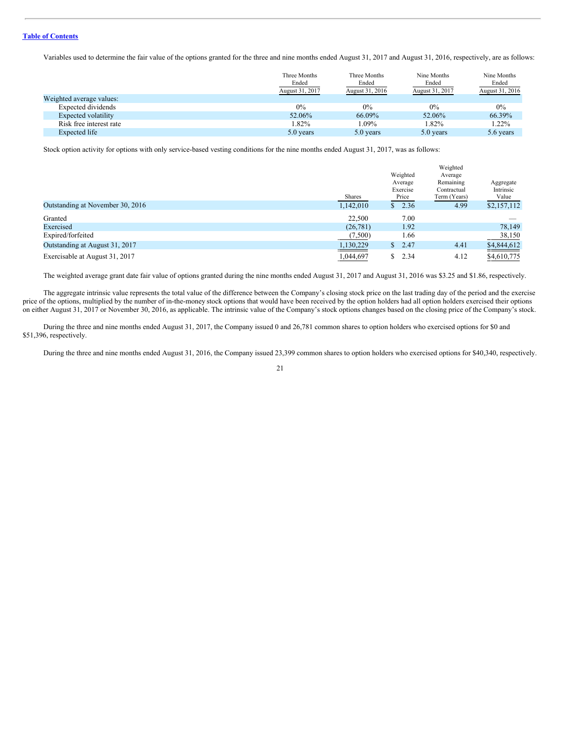Variables used to determine the fair value of the options granted for the three and nine months ended August 31, 2017 and August 31, 2016, respectively, are as follows:

|                          | Three Months<br>Ended<br>August 31, 2017 | Three Months<br>Ended<br>August 31, 2016 | Nine Months<br>Ended<br>August 31, 2017 | Nine Months<br>Ended<br>August 31, 2016 |
|--------------------------|------------------------------------------|------------------------------------------|-----------------------------------------|-----------------------------------------|
| Weighted average values: |                                          |                                          |                                         |                                         |
| Expected dividends       | $0\%$                                    | 0%                                       | 0%                                      | $0\%$                                   |
| Expected volatility      | 52.06%                                   | 66.09%                                   | 52.06%                                  | 66.39%                                  |
| Risk free interest rate  | 1.82%                                    | 1.09%                                    | 1.82%                                   | 1.22%                                   |
| Expected life            | 5.0 years                                | 5.0 years                                | 5.0 years                               | 5.6 years                               |

Stock option activity for options with only service-based vesting conditions for the nine months ended August 31, 2017, was as follows:

|                                  | Shares    | Weighted<br>Average<br>Exercise<br>Price | Weighted<br>Average<br>Remaining<br>Contractual<br>Term (Years) | Aggregate<br>Intrinsic<br>Value |
|----------------------------------|-----------|------------------------------------------|-----------------------------------------------------------------|---------------------------------|
| Outstanding at November 30, 2016 | 1,142,010 | \$2.36                                   | 4.99                                                            | \$2,157,112                     |
| Granted                          | 22,500    | 7.00                                     |                                                                 |                                 |
| Exercised                        | (26, 781) | 1.92                                     |                                                                 | 78,149                          |
| Expired/forfeited                | (7,500)   | 1.66                                     |                                                                 | 38,150                          |
| Outstanding at August 31, 2017   | 1,130,229 | $\frac{\$}{2.47}$                        | 4.41                                                            | \$4,844,612                     |
| Exercisable at August 31, 2017   | 1,044,697 | $\frac{1}{2}$ 2.34                       | 4.12                                                            | \$4,610,775                     |

The weighted average grant date fair value of options granted during the nine months ended August 31, 2017 and August 31, 2016 was \$3.25 and \$1.86, respectively.

The aggregate intrinsic value represents the total value of the difference between the Company's closing stock price on the last trading day of the period and the exercise price of the options, multiplied by the number of in-the-money stock options that would have been received by the option holders had all option holders exercised their options on either August 31, 2017 or November 30, 2016, as applicable. The intrinsic value of the Company's stock options changes based on the closing price of the Company's stock.

During the three and nine months ended August 31, 2017, the Company issued 0 and 26,781 common shares to option holders who exercised options for \$0 and \$51,396, respectively.

During the three and nine months ended August 31, 2016, the Company issued 23,399 common shares to option holders who exercised options for \$40,340, respectively.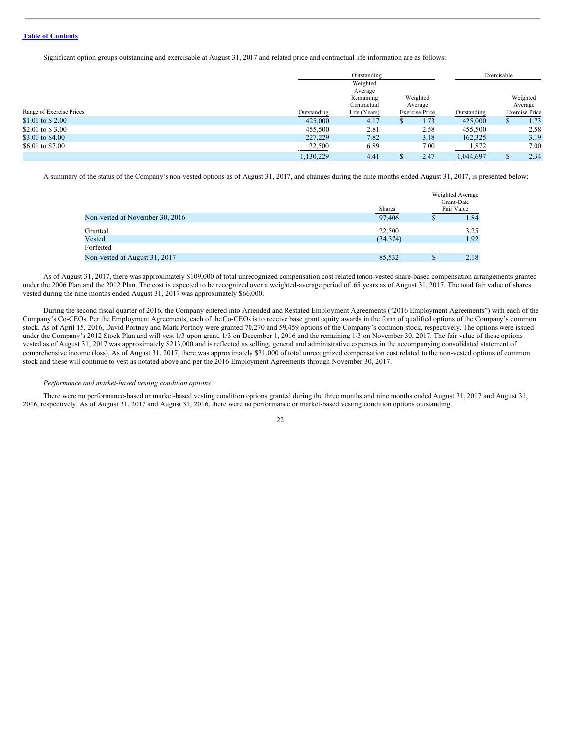Significant option groups outstanding and exercisable at August 31, 2017 and related price and contractual life information are as follows:

|                          |             | Outstanding  |  |                       | Exercisable |  |                       |
|--------------------------|-------------|--------------|--|-----------------------|-------------|--|-----------------------|
|                          |             | Weighted     |  |                       |             |  |                       |
|                          |             | Average      |  |                       |             |  |                       |
|                          |             | Remaining    |  | Weighted              |             |  | Weighted              |
|                          |             | Contractual  |  | Average               |             |  | Average               |
| Range of Exercise Prices | Outstanding | Life (Years) |  | <b>Exercise Price</b> | Outstanding |  | <b>Exercise Price</b> |
| \$1.01 to \$2.00         | 425,000     | 4.17         |  | 1.73                  | 425,000     |  | 1.73                  |
| \$2.01 to \$3.00         | 455,500     | 2.81         |  | 2.58                  | 455,500     |  | 2.58                  |
| \$3.01 to \$4.00         | 227,229     | 7.82         |  | 3.18                  | 162,325     |  | 3.19                  |
| \$6.01 to \$7.00         | 22,500      | 6.89         |  | 7.00                  | 1,872       |  | 7.00                  |
|                          | 1,130,229   | 4.41         |  | 2.47                  | 1,044,697   |  | 2.34                  |

A summary of the status of the Company's non-vested options as of August 31, 2017, and changes during the nine months ended August 31, 2017, is presented below:

|                                 | Shares    | Weighted Average<br>Grant-Date<br>Fair Value |
|---------------------------------|-----------|----------------------------------------------|
| Non-vested at November 30, 2016 | 97,406    | 1.84                                         |
| Granted                         | 22,500    | 3.25                                         |
| Vested                          | (34, 374) | 1.92                                         |
| Forfeited                       |           | __                                           |
| Non-vested at August 31, 2017   | 85,532    | 2.18                                         |

As of August 31, 2017, there was approximately \$109,000 of total unrecognized compensation cost related tonon-vested share-based compensation arrangements granted under the 2006 Plan and the 2012 Plan. The cost is expected to be recognized over a weighted-average period of .65 years as of August 31, 2017. The total fair value of shares vested during the nine months ended August 31, 2017 was approximately \$66,000.

During the second fiscal quarter of 2016, the Company entered into Amended and Restated Employment Agreements ("2016 Employment Agreements") with each of the Company's Co-CEOs. Per the Employment Agreements, each of theCo-CEOs is to receive base grant equity awards in the form of qualified options of the Company's common stock. As of April 15, 2016, David Portnoy and Mark Portnoy were granted 70,270 and 59,459 options of the Company's common stock, respectively. The options were issued under the Company's 2012 Stock Plan and will vest 1/3 upon grant, 1/3 on December 1, 2016 and the remaining 1/3 on November 30, 2017. The fair value of these options vested as of August 31, 2017 was approximately \$213,000 and is reflected as selling, general and administrative expenses in the accompanying consolidated statement of comprehensive income (loss). As of August 31, 2017, there was approximately \$31,000 of total unrecognized compensation cost related to the non-vested options of common stock and these will continue to vest as notated above and per the 2016 Employment Agreements through November 30, 2017.

#### *Performance and market-based vesting condition options*

There were no performance-based or market-based vesting condition options granted during the three months and nine months ended August 31, 2017 and August 31, 2016, respectively. As of August 31, 2017 and August 31, 2016, there were no performance or market-based vesting condition options outstanding.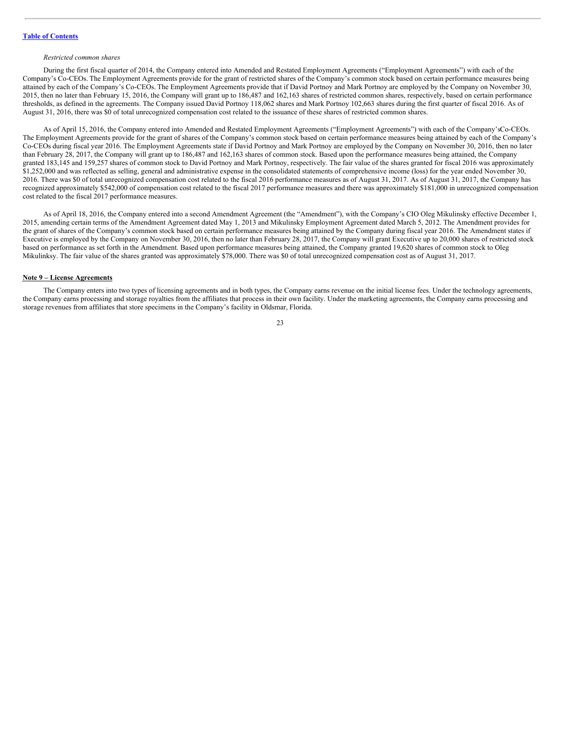#### *Restricted common shares*

During the first fiscal quarter of 2014, the Company entered into Amended and Restated Employment Agreements ("Employment Agreements") with each of the Company's Co-CEOs. The Employment Agreements provide for the grant of restricted shares of the Company's common stock based on certain performance measures being attained by each of the Company's Co-CEOs. The Employment Agreements provide that if David Portnoy and Mark Portnoy are employed by the Company on November 30, 2015, then no later than February 15, 2016, the Company will grant up to 186,487 and 162,163 shares of restricted common shares, respectively, based on certain performance thresholds, as defined in the agreements. The Company issued David Portnoy 118,062 shares and Mark Portnoy 102,663 shares during the first quarter of fiscal 2016. As of August 31, 2016, there was \$0 of total unrecognized compensation cost related to the issuance of these shares of restricted common shares.

As of April 15, 2016, the Company entered into Amended and Restated Employment Agreements ("Employment Agreements") with each of the Company'sCo-CEOs. The Employment Agreements provide for the grant of shares of the Company's common stock based on certain performance measures being attained by each of the Company's Co-CEOs during fiscal year 2016. The Employment Agreements state if David Portnoy and Mark Portnoy are employed by the Company on November 30, 2016, then no later than February 28, 2017, the Company will grant up to 186,487 and 162,163 shares of common stock. Based upon the performance measures being attained, the Company granted 183,145 and 159,257 shares of common stock to David Portnoy and Mark Portnoy, respectively. The fair value of the shares granted for fiscal 2016 was approximately \$1,252,000 and was reflected as selling, general and administrative expense in the consolidated statements of comprehensive income (loss) for the year ended November 30, 2016. There was \$0 of total unrecognized compensation cost related to the fiscal 2016 performance measures as of August 31, 2017. As of August 31, 2017, the Company has recognized approximately \$542,000 of compensation cost related to the fiscal 2017 performance measures and there was approximately \$181,000 in unrecognized compensation cost related to the fiscal 2017 performance measures.

As of April 18, 2016, the Company entered into a second Amendment Agreement (the "Amendment"), with the Company's CIO Oleg Mikulinsky effective December 1, 2015, amending certain terms of the Amendment Agreement dated May 1, 2013 and Mikulinsky Employment Agreement dated March 5, 2012. The Amendment provides for the grant of shares of the Company's common stock based on certain performance measures being attained by the Company during fiscal year 2016. The Amendment states if Executive is employed by the Company on November 30, 2016, then no later than February 28, 2017, the Company will grant Executive up to 20,000 shares of restricted stock based on performance as set forth in the Amendment. Based upon performance measures being attained, the Company granted 19,620 shares of common stock to Oleg Mikulinksy. The fair value of the shares granted was approximately \$78,000. There was \$0 of total unrecognized compensation cost as of August 31, 2017.

#### **Note 9 – License Agreements**

The Company enters into two types of licensing agreements and in both types, the Company earns revenue on the initial license fees. Under the technology agreements, the Company earns processing and storage royalties from the affiliates that process in their own facility. Under the marketing agreements, the Company earns processing and storage revenues from affiliates that store specimens in the Company's facility in Oldsmar, Florida.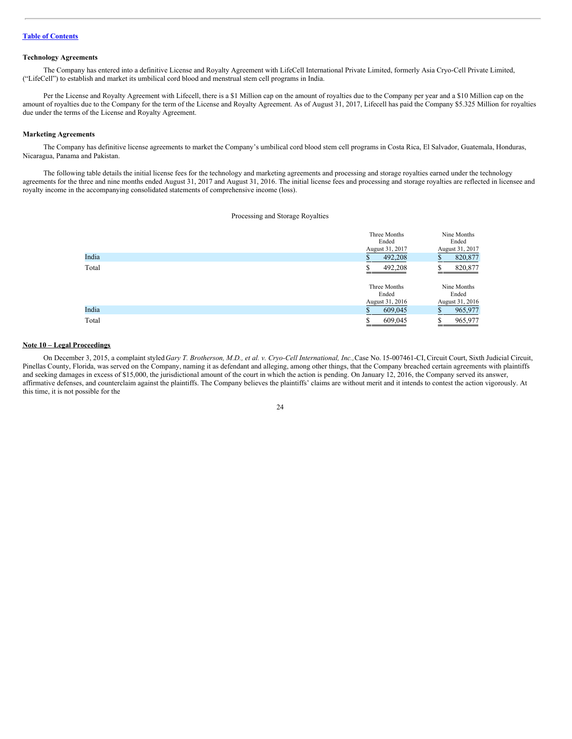#### **Technology Agreements**

The Company has entered into a definitive License and Royalty Agreement with LifeCell International Private Limited, formerly Asia Cryo-Cell Private Limited, ("LifeCell") to establish and market its umbilical cord blood and menstrual stem cell programs in India.

Per the License and Royalty Agreement with Lifecell, there is a \$1 Million cap on the amount of royalties due to the Company per year and a \$10 Million cap on the amount of royalties due to the Company for the term of the License and Royalty Agreement. As of August 31, 2017, Lifecell has paid the Company \$5.325 Million for royalties due under the terms of the License and Royalty Agreement.

#### **Marketing Agreements**

The Company has definitive license agreements to market the Company's umbilical cord blood stem cell programs in Costa Rica, El Salvador, Guatemala, Honduras, Nicaragua, Panama and Pakistan.

The following table details the initial license fees for the technology and marketing agreements and processing and storage royalties earned under the technology agreements for the three and nine months ended August 31, 2017 and August 31, 2016. The initial license fees and processing and storage royalties are reflected in licensee and royalty income in the accompanying consolidated statements of comprehensive income (loss).

#### Processing and Storage Royalties

|       | Three Months<br>Ended<br>August 31, 2017 | Nine Months<br>Ended<br>August 31, 2017 |
|-------|------------------------------------------|-----------------------------------------|
| India | 492,208                                  | 820,877                                 |
| Total | 492,208                                  | 820,877                                 |
|       | Three Months<br>Ended<br>August 31, 2016 | Nine Months<br>Ended<br>August 31, 2016 |
| India | 609,045                                  | 965,977                                 |
| Total | 609,045                                  | 965,977                                 |

#### **Note 10 – Legal Proceedings**

On December 3, 2015, a complaint styled Gary T. Brotherson, M.D., et al. v. Cryo-Cell International, Inc., Case No. 15-007461-CI, Circuit Court, Sixth Judicial Circuit, Pinellas County, Florida, was served on the Company, naming it as defendant and alleging, among other things, that the Company breached certain agreements with plaintiffs and seeking damages in excess of \$15,000, the jurisdictional amount of the court in which the action is pending. On January  $12, 2016$ , the Company served its answer, affirmative defenses, and counterclaim against the plaintiffs. The Company believes the plaintiffs' claims are without merit and it intends to contest the action vigorously. At this time, it is not possible for the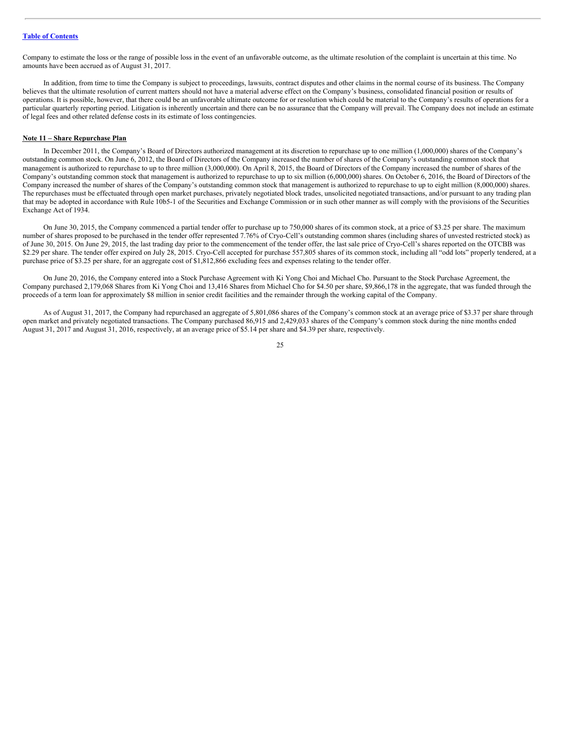Company to estimate the loss or the range of possible loss in the event of an unfavorable outcome, as the ultimate resolution of the complaint is uncertain at this time. No amounts have been accrued as of August 31, 2017.

In addition, from time to time the Company is subject to proceedings, lawsuits, contract disputes and other claims in the normal course of its business. The Company believes that the ultimate resolution of current matters should not have a material adverse effect on the Company's business, consolidated financial position or results of operations. It is possible, however, that there could be an unfavorable ultimate outcome for or resolution which could be material to the Company's results of operations for a particular quarterly reporting period. Litigation is inherently uncertain and there can be no assurance that the Company will prevail. The Company does not include an estimate of legal fees and other related defense costs in its estimate of loss contingencies.

#### **Note 11 – Share Repurchase Plan**

In December 2011, the Company's Board of Directors authorized management at its discretion to repurchase up to one million (1,000,000) shares of the Company's outstanding common stock. On June 6, 2012, the Board of Directors of the Company increased the number of shares of the Company's outstanding common stock that management is authorized to repurchase to up to three million (3,000,000). On April 8, 2015, the Board of Directors of the Company increased the number of shares of the Company's outstanding common stock that management is authorized to repurchase to up to six million (6,000,000) shares. On October 6, 2016, the Board of Directors of the Company increased the number of shares of the Company's outstanding common stock that management is authorized to repurchase to up to eight million (8,000,000) shares. The repurchases must be effectuated through open market purchases, privately negotiated block trades, unsolicited negotiated transactions, and/or pursuant to any trading plan that may be adopted in accordance with Rule 10b5-1 of the Securities and Exchange Commission or in such other manner as will comply with the provisions of the Securities Exchange Act of 1934.

On June 30, 2015, the Company commenced a partial tender offer to purchase up to 750,000 shares of its common stock, at a price of \$3.25 per share. The maximum number of shares proposed to be purchased in the tender offer represented 7.76% of Cryo-Cell's outstanding common shares (including shares of unvested restricted stock) as of June 30, 2015. On June 29, 2015, the last trading day prior to the commencement of the tender offer, the last sale price of Cryo-Cell's shares reported on the OTCBB was \$2.29 per share. The tender offer expired on July 28, 2015. Cryo-Cell accepted for purchase 557,805 shares of its common stock, including all "odd lots" properly tendered, at a purchase price of \$3.25 per share, for an aggregate cost of \$1,812,866 excluding fees and expenses relating to the tender offer.

On June 20, 2016, the Company entered into a Stock Purchase Agreement with Ki Yong Choi and Michael Cho. Pursuant to the Stock Purchase Agreement, the Company purchased 2,179,068 Shares from Ki Yong Choi and 13,416 Shares from Michael Cho for \$4.50 per share, \$9,866,178 in the aggregate, that was funded through the proceeds of a term loan for approximately \$8 million in senior credit facilities and the remainder through the working capital of the Company.

As of August 31, 2017, the Company had repurchased an aggregate of 5,801,086 shares of the Company's common stock at an average price of \$3.37 per share through open market and privately negotiated transactions. The Company purchased 86,915 and 2,429,033 shares of the Company's common stock during the nine months ended August 31, 2017 and August 31, 2016, respectively, at an average price of \$5.14 per share and \$4.39 per share, respectively.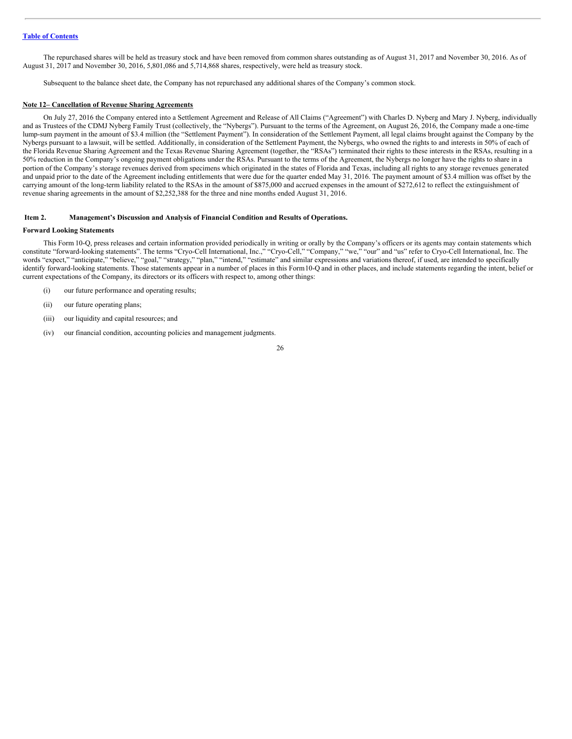The repurchased shares will be held as treasury stock and have been removed from common shares outstanding as of August 31, 2017 and November 30, 2016. As of August 31, 2017 and November 30, 2016, 5,801,086 and 5,714,868 shares, respectively, were held as treasury stock.

Subsequent to the balance sheet date, the Company has not repurchased any additional shares of the Company's common stock.

#### **Note 12– Cancellation of Revenue Sharing Agreements**

On July 27, 2016 the Company entered into a Settlement Agreement and Release of All Claims ("Agreement") with Charles D. Nyberg and Mary J. Nyberg, individually and as Trustees of the CDMJ Nyberg Family Trust (collectively, the "Nybergs"). Pursuant to the terms of the Agreement, on August 26, 2016, the Company made a one-time lump-sum payment in the amount of \$3.4 million (the "Settlement Payment"). In consideration of the Settlement Payment, all legal claims brought against the Company by the Nybergs pursuant to a lawsuit, will be settled. Additionally, in consideration of the Settlement Payment, the Nybergs, who owned the rights to and interests in 50% of each of the Florida Revenue Sharing Agreement and the Texas Revenue Sharing Agreement (together, the "RSAs") terminated their rights to these interests in the RSAs, resulting in a 50% reduction in the Company's ongoing payment obligations under the RSAs. Pursuant to the terms of the Agreement, the Nybergs no longer have the rights to share in a portion of the Company's storage revenues derived from specimens which originated in the states of Florida and Texas, including all rights to any storage revenues generated and unpaid prior to the date of the Agreement including entitlements that were due for the quarter ended May 31, 2016. The payment amount of \$3.4 million was offset by the carrying amount of the long-term liability related to the RSAs in the amount of \$875,000 and accrued expenses in the amount of \$272,612 to reflect the extinguishment of revenue sharing agreements in the amount of \$2,252,388 for the three and nine months ended August 31, 2016.

#### <span id="page-25-0"></span>**Item 2. Management's Discussion and Analysis of Financial Condition and Results of Operations.**

#### **Forward Looking Statements**

This Form 10-Q, press releases and certain information provided periodically in writing or orally by the Company's officers or its agents may contain statements which constitute "forward-looking statements". The terms "Cryo-Cell International, Inc.," "Cryo-Cell," "Company," "we," "our" and "us" refer to Cryo-Cell International, Inc. The words "expect," "anticipate," "believe," "goal," "strategy," "plan," "intend," "estimate" and similar expressions and variations thereof, if used, are intended to specifically identify forward-looking statements. Those statements appear in a number of places in this Form10-Q and in other places, and include statements regarding the intent, belief or current expectations of the Company, its directors or its officers with respect to, among other things:

- (i) our future performance and operating results;
- (ii) our future operating plans;
- (iii) our liquidity and capital resources; and
- (iv) our financial condition, accounting policies and management judgments.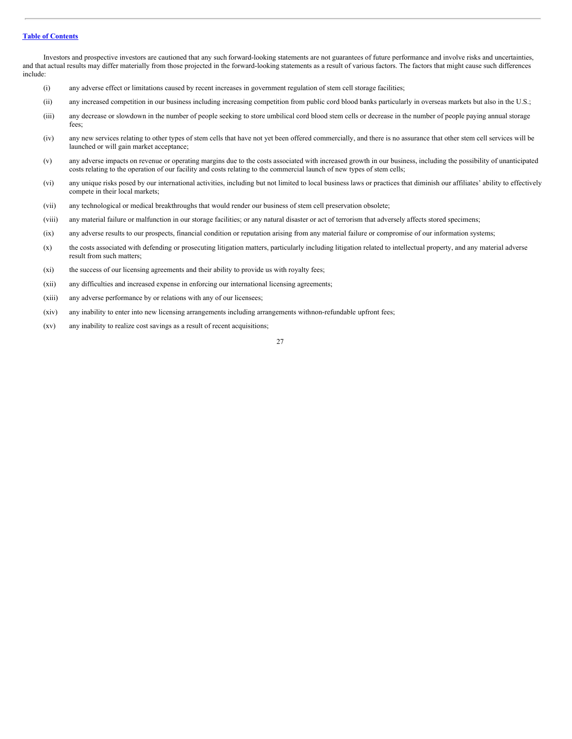Investors and prospective investors are cautioned that any such forward-looking statements are not guarantees of future performance and involve risks and uncertainties, and that actual results may differ materially from those projected in the forward-looking statements as a result of various factors. The factors that might cause such differences include:

- (i) any adverse effect or limitations caused by recent increases in government regulation of stem cell storage facilities;
- (ii) any increased competition in our business including increasing competition from public cord blood banks particularly in overseas markets but also in the U.S.;
- (iii) any decrease or slowdown in the number of people seeking to store umbilical cord blood stem cells or decrease in the number of people paying annual storage fees;
- (iv) any new services relating to other types of stem cells that have not yet been offered commercially, and there is no assurance that other stem cell services will be launched or will gain market acceptance;
- (v) any adverse impacts on revenue or operating margins due to the costs associated with increased growth in our business, including the possibility of unanticipated costs relating to the operation of our facility and costs relating to the commercial launch of new types of stem cells;
- (vi) any unique risks posed by our international activities, including but not limited to local business laws or practices that diminish our affiliates' ability to effectively compete in their local markets;
- (vii) any technological or medical breakthroughs that would render our business of stem cell preservation obsolete;
- (viii) any material failure or malfunction in our storage facilities; or any natural disaster or act of terrorism that adversely affects stored specimens;
- (ix) any adverse results to our prospects, financial condition or reputation arising from any material failure or compromise of our information systems;
- (x) the costs associated with defending or prosecuting litigation matters, particularly including litigation related to intellectual property, and any material adverse result from such matters;
- (xi) the success of our licensing agreements and their ability to provide us with royalty fees;
- (xii) any difficulties and increased expense in enforcing our international licensing agreements;
- (xiii) any adverse performance by or relations with any of our licensees;
- (xiv) any inability to enter into new licensing arrangements including arrangements withnon-refundable upfront fees;
- (xv) any inability to realize cost savings as a result of recent acquisitions;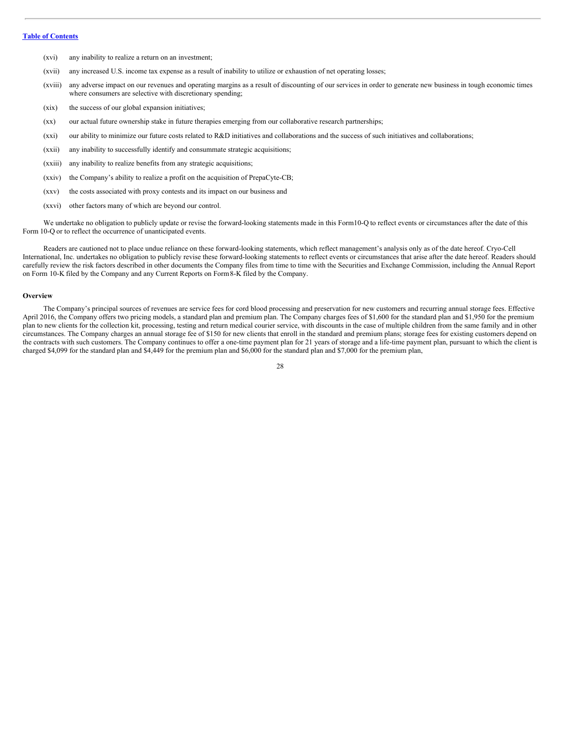- (xvi) any inability to realize a return on an investment;
- (xvii) any increased U.S. income tax expense as a result of inability to utilize or exhaustion of net operating losses;
- (xviii) any adverse impact on our revenues and operating margins as a result of discounting of our services in order to generate new business in tough economic times where consumers are selective with discretionary spending;
- (xix) the success of our global expansion initiatives;
- (xx) our actual future ownership stake in future therapies emerging from our collaborative research partnerships;
- (xxi) our ability to minimize our future costs related to R&D initiatives and collaborations and the success of such initiatives and collaborations;
- (xxii) any inability to successfully identify and consummate strategic acquisitions;
- (xxiii) any inability to realize benefits from any strategic acquisitions;
- (xxiv) the Company's ability to realize a profit on the acquisition of PrepaCyte-CB;
- (xxv) the costs associated with proxy contests and its impact on our business and
- (xxvi) other factors many of which are beyond our control.

We undertake no obligation to publicly update or revise the forward-looking statements made in this Form10-Q to reflect events or circumstances after the date of this Form 10-Q or to reflect the occurrence of unanticipated events.

Readers are cautioned not to place undue reliance on these forward-looking statements, which reflect management's analysis only as of the date hereof. Cryo-Cell International, Inc. undertakes no obligation to publicly revise these forward-looking statements to reflect events or circumstances that arise after the date hereof. Readers should carefully review the risk factors described in other documents the Company files from time to time with the Securities and Exchange Commission, including the Annual Report on Form 10-K filed by the Company and any Current Reports on Form8-K filed by the Company.

#### **Overview**

The Company's principal sources of revenues are service fees for cord blood processing and preservation for new customers and recurring annual storage fees. Effective April 2016, the Company offers two pricing models, a standard plan and premium plan. The Company charges fees of \$1,600 for the standard plan and \$1,950 for the premium plan to new clients for the collection kit, processing, testing and return medical courier service, with discounts in the case of multiple children from the same family and in other circumstances. The Company charges an annual storage fee of \$150 for new clients that enroll in the standard and premium plans; storage fees for existing customers depend on the contracts with such customers. The Company continues to offer a one-time payment plan for 21 years of storage and a life-time payment plan, pursuant to which the client is charged \$4,099 for the standard plan and \$4,449 for the premium plan and \$6,000 for the standard plan and \$7,000 for the premium plan,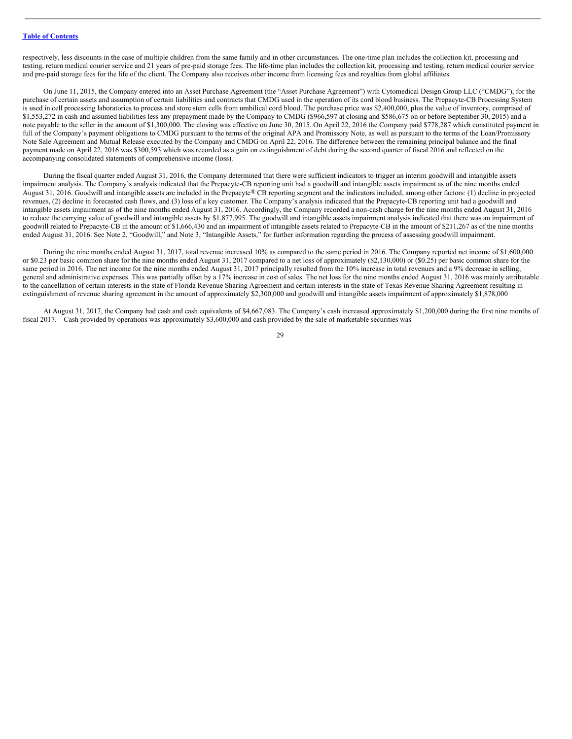respectively, less discounts in the case of multiple children from the same family and in other circumstances. The one-time plan includes the collection kit, processing and testing, return medical courier service and 21 years of pre-paid storage fees. The life-time plan includes the collection kit, processing and testing, return medical courier service and pre-paid storage fees for the life of the client. The Company also receives other income from licensing fees and royalties from global affiliates.

On June 11, 2015, the Company entered into an Asset Purchase Agreement (the "Asset Purchase Agreement") with Cytomedical Design Group LLC ("CMDG"), for the purchase of certain assets and assumption of certain liabilities and contracts that CMDG used in the operation of its cord blood business. The Prepacyte-CB Processing System is used in cell processing laboratories to process and store stem cells from umbilical cord blood. The purchase price was \$2,400,000, plus the value of inventory, comprised of \$1,553,272 in cash and assumed liabilities less any prepayment made by the Company to CMDG (\$966,597 at closing and \$586,675 on or before September 30, 2015) and a note payable to the seller in the amount of \$1,300,000. The closing was effective on June 30, 2015. On April 22, 2016 the Company paid \$778,287 which constituted payment in full of the Company's payment obligations to CMDG pursuant to the terms of the original APA and Promissory Note, as well as pursuant to the terms of the Loan/Promissory Note Sale Agreement and Mutual Release executed by the Company and CMDG on April 22, 2016. The difference between the remaining principal balance and the final payment made on April 22, 2016 was \$300,593 which was recorded as a gain on extinguishment of debt during the second quarter of fiscal 2016 and reflected on the accompanying consolidated statements of comprehensive income (loss).

During the fiscal quarter ended August 31, 2016, the Company determined that there were sufficient indicators to trigger an interim goodwill and intangible assets impairment analysis. The Company's analysis indicated that the Prepacyte-CB reporting unit had a goodwill and intangible assets impairment as of the nine months ended August 31, 2016. Goodwill and intangible assets are included in the Prepacyte® CB reporting segment and the indicators included, among other factors: (1) decline in projected revenues, (2) decline in forecasted cash flows, and (3) loss of a key customer. The Company's analysis indicated that the Prepacyte-CB reporting unit had a goodwill and intangible assets impairment as of the nine months ended August 31, 2016. Accordingly, the Company recorded a non-cash charge for the nine months ended August 31, 2016 to reduce the carrying value of goodwill and intangible assets by \$1,877,995. The goodwill and intangible assets impairment analysis indicated that there was an impairment of goodwill related to Prepacyte-CB in the amount of \$1,666,430 and an impairment of intangible assets related to Prepacyte-CB in the amount of \$211,267 as of the nine months ended August 31, 2016. See Note 2, "Goodwill," and Note 3, "Intangible Assets," for further information regarding the process of assessing goodwill impairment.

During the nine months ended August 31, 2017, total revenue increased 10% as compared to the same period in 2016. The Company reported net income of \$1,600,000 or \$0.23 per basic common share for the nine months ended August 31, 2017 compared to a net loss of approximately (\$2,130,000) or (\$0.25) per basic common share for the same period in 2016. The net income for the nine months ended August 31, 2017 principally resulted from the 10% increase in total revenues and a 9% decrease in selling, general and administrative expenses. This was partially offset by a 17% increase in cost of sales. The net loss for the nine months ended August 31, 2016 was mainly attributable to the cancellation of certain interests in the state of Florida Revenue Sharing Agreement and certain interests in the state of Texas Revenue Sharing Agreement resulting in extinguishment of revenue sharing agreement in the amount of approximately \$2,300,000 and goodwill and intangible assets impairment of approximately \$1,878,000

At August 31, 2017, the Company had cash and cash equivalents of \$4,667,083. The Company's cash increased approximately \$1,200,000 during the first nine months of fiscal 2017. Cash provided by operations was approximately \$3,600,000 and cash provided by the sale of marketable securities was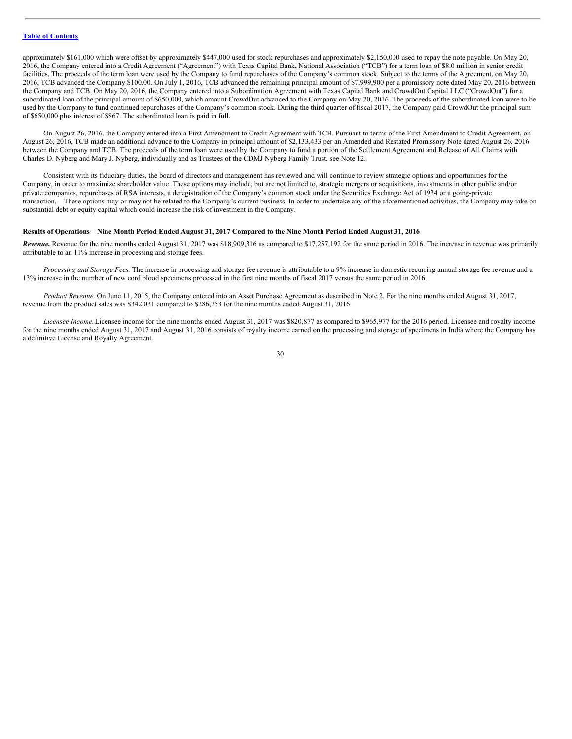approximately \$161,000 which were offset by approximately \$447,000 used for stock repurchases and approximately \$2,150,000 used to repay the note payable. On May 20, 2016, the Company entered into a Credit Agreement ("Agreement") with Texas Capital Bank, National Association ("TCB") for a term loan of \$8.0 million in senior credit facilities. The proceeds of the term loan were used by the Company to fund repurchases of the Company's common stock. Subject to the terms of the Agreement, on May 20, 2016, TCB advanced the Company \$100.00. On July 1, 2016, TCB advanced the remaining principal amount of \$7,999,900 per a promissory note dated May 20, 2016 between the Company and TCB. On May 20, 2016, the Company entered into a Subordination Agreement with Texas Capital Bank and CrowdOut Capital LLC ("CrowdOut") for a subordinated loan of the principal amount of \$650,000, which amount CrowdOut advanced to the Company on May 20, 2016. The proceeds of the subordinated loan were to be used by the Company to fund continued repurchases of the Company's common stock. During the third quarter of fiscal 2017, the Company paid CrowdOut the principal sum of \$650,000 plus interest of \$867. The subordinated loan is paid in full.

On August 26, 2016, the Company entered into a First Amendment to Credit Agreement with TCB. Pursuant to terms of the First Amendment to Credit Agreement, on August 26, 2016, TCB made an additional advance to the Company in principal amount of \$2,133,433 per an Amended and Restated Promissory Note dated August 26, 2016 between the Company and TCB. The proceeds of the term loan were used by the Company to fund a portion of the Settlement Agreement and Release of All Claims with Charles D. Nyberg and Mary J. Nyberg, individually and as Trustees of the CDMJ Nyberg Family Trust, see Note 12.

Consistent with its fiduciary duties, the board of directors and management has reviewed and will continue to review strategic options and opportunities for the Company, in order to maximize shareholder value. These options may include, but are not limited to, strategic mergers or acquisitions, investments in other public and/or private companies, repurchases of RSA interests, a deregistration of the Company's common stock under the Securities Exchange Act of 1934 or a going-private transaction. These options may or may not be related to the Company's current business. In order to undertake any of the aforementioned activities, the Company may take on substantial debt or equity capital which could increase the risk of investment in the Company.

#### Results of Operations - Nine Month Period Ended August 31, 2017 Compared to the Nine Month Period Ended August 31, 2016

*Revenue.* Revenue for the nine months ended August 31, 2017 was \$18,909,316 as compared to \$17,257,192 for the same period in 2016. The increase in revenue was primarily attributable to an 11% increase in processing and storage fees.

*Processing and Storage Fees.* The increase in processing and storage fee revenue is attributable to a 9% increase in domestic recurring annual storage fee revenue and a 13% increase in the number of new cord blood specimens processed in the first nine months of fiscal 2017 versus the same period in 2016.

*Product Revenue*. On June 11, 2015, the Company entered into an Asset Purchase Agreement as described in Note 2. For the nine months ended August 31, 2017, revenue from the product sales was \$342,031 compared to \$286,253 for the nine months ended August 31, 2016.

*Licensee Income.*Licensee income for the nine months ended August 31, 2017 was \$820,877 as compared to \$965,977 for the 2016 period. Licensee and royalty income for the nine months ended August 31, 2017 and August 31, 2016 consists of royalty income earned on the processing and storage of specimens in India where the Company has a definitive License and Royalty Agreement.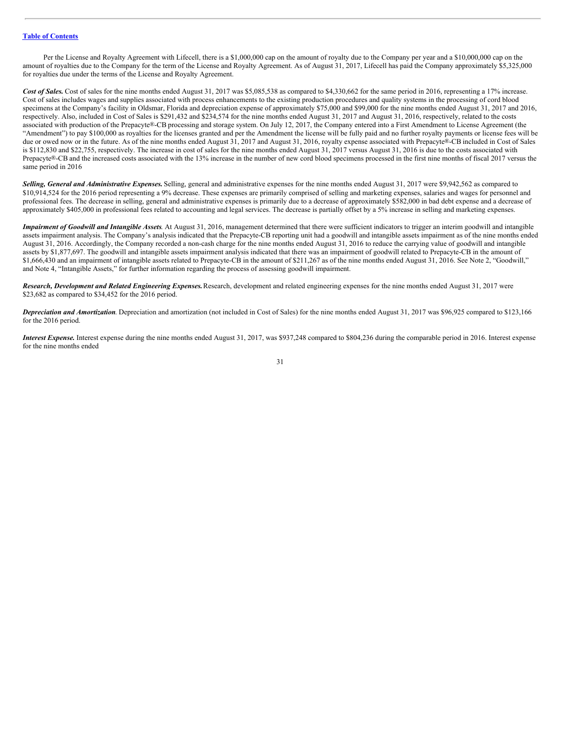Per the License and Royalty Agreement with Lifecell, there is a \$1,000,000 cap on the amount of royalty due to the Company per year and a \$10,000,000 cap on the amount of royalties due to the Company for the term of the License and Royalty Agreement. As of August 31, 2017, Lifecell has paid the Company approximately \$5,325,000 for royalties due under the terms of the License and Royalty Agreement.

Cost of Sales. Cost of sales for the nine months ended August 31, 2017 was \$5,085,538 as compared to \$4,330,662 for the same period in 2016, representing a 17% increase. Cost of sales includes wages and supplies associated with process enhancements to the existing production procedures and quality systems in the processing of cord blood specimens at the Company's facility in Oldsmar, Florida and depreciation expense of approximately \$75,000 and \$99,000 for the nine months ended August 31, 2017 and 2016, respectively. Also, included in Cost of Sales is \$291,432 and \$234,574 for the nine months ended August 31, 2017 and August 31, 2016, respectively, related to the costs associated with production of the Prepacyte®-CB processing and storage system. On July 12, 2017, the Company entered into a First Amendment to License Agreement (the "Amendment") to pay \$100,000 as royalties for the licenses granted and per the Amendment the license will be fully paid and no further royalty payments or license fees will be due or owed now or in the future. As of the nine months ended August 31, 2017 and August 31, 2016, royalty expense associated with Prepacyte®-CB included in Cost of Sales is \$112,830 and \$22,755, respectively. The increase in cost of sales for the nine months ended August 31, 2017 versus August 31, 2016 is due to the costs associated with Prepacyte®-CB and the increased costs associated with the 13% increase in the number of new cord blood specimens processed in the first nine months of fiscal 2017 versus the same period in 2016

*Selling, General and Administrative Expenses.* Selling, general and administrative expenses for the nine months ended August 31, 2017 were \$9,942,562 as compared to \$10,914,524 for the 2016 period representing a 9% decrease. These expenses are primarily comprised of selling and marketing expenses, salaries and wages for personnel and professional fees. The decrease in selling, general and administrative expenses is primarily due to a decrease of approximately \$582,000 in bad debt expense and a decrease of approximately \$405,000 in professional fees related to accounting and legal services. The decrease is partially offset by a 5% increase in selling and marketing expenses.

*Impairment of Goodwill and Intangible Assets*. At August 31, 2016, management determined that there were sufficient indicators to trigger an interim goodwill and intangible assets impairment analysis. The Company's analysis indicated that the Prepacyte-CB reporting unit had a goodwill and intangible assets impairment as of the nine months ended August 31, 2016. Accordingly, the Company recorded a non-cash charge for the nine months ended August 31, 2016 to reduce the carrying value of goodwill and intangible assets by \$1,877,697. The goodwill and intangible assets impairment analysis indicated that there was an impairment of goodwill related to Prepacyte-CB in the amount of \$1,666,430 and an impairment of intangible assets related to Prepacyte-CB in the amount of \$211,267 as of the nine months ended August 31, 2016. See Note 2, "Goodwill," and Note 4, "Intangible Assets," for further information regarding the process of assessing goodwill impairment.

*Research, Development and Related Engineering Expenses.*Research, development and related engineering expenses for the nine months ended August 31, 2017 were \$23,682 as compared to \$34,452 for the 2016 period.

*Depreciation and Amortization*. Depreciation and amortization (not included in Cost of Sales) for the nine months ended August 31, 2017 was \$96,925 compared to \$123,166 for the 2016 period.

*Interest Expense.* Interest expense during the nine months ended August 31, 2017, was \$937,248 compared to \$804,236 during the comparable period in 2016. Interest expense for the nine months ended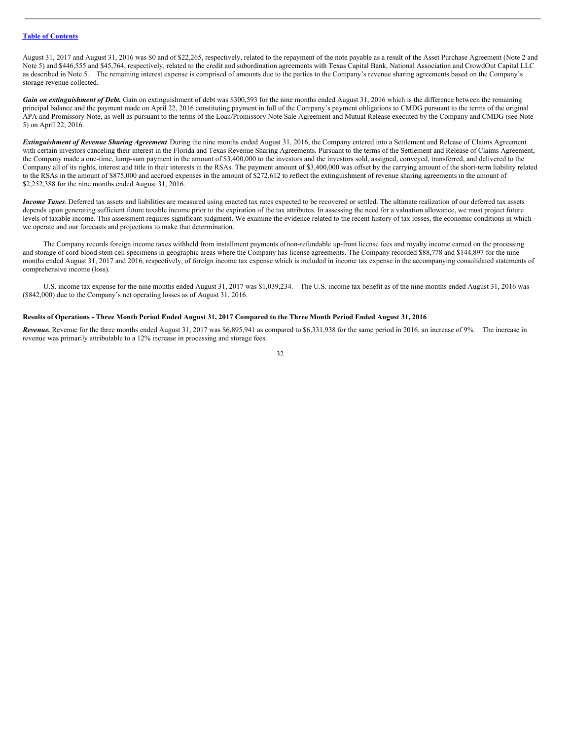August 31, 2017 and August 31, 2016 was \$0 and of \$22,265, respectively, related to the repayment of the note payable as a result of the Asset Purchase Agreement (Note 2 and Note 5) and \$446,555 and \$45,764, respectively, related to the credit and subordination agreements with Texas Capital Bank, National Association and CrowdOut Capital LLC as described in Note 5. The remaining interest expense is comprised of amounts due to the parties to the Company's revenue sharing agreements based on the Company's storage revenue collected.

*Gain on extinguishment of Debt.* Gain on extinguishment of debt was \$300,593 for the nine months ended August 31, 2016 which is the difference between the remaining principal balance and the payment made on April 22, 2016 constituting payment in full of the Company's payment obligations to CMDG pursuant to the terms of the original APA and Promissory Note, as well as pursuant to the terms of the Loan/Promissory Note Sale Agreement and Mutual Release executed by the Company and CMDG (see Note 5) on April 22, 2016.

*Extinguishment of Revenue Sharing Agreement*. During the nine months ended August 31, 2016, the Company entered into a Settlement and Release of Claims Agreement with certain investors canceling their interest in the Florida and Texas Revenue Sharing Agreements. Pursuant to the terms of the Settlement and Release of Claims Agreement, the Company made a one-time, lump-sum payment in the amount of \$3,400,000 to the investors and the investors sold, assigned, conveyed, transferred, and delivered to the Company all of its rights, interest and title in their interests in the RSAs. The payment amount of \$3,400,000 was offset by the carrying amount of the short-term liability related to the RSAs in the amount of \$875,000 and accrued expenses in the amount of \$272,612 to reflect the extinguishment of revenue sharing agreements in the amount of \$2,252,388 for the nine months ended August 31, 2016.

*Income Taxes*. Deferred tax assets and liabilities are measured using enacted tax rates expected to be recovered or settled. The ultimate realization of our deferred tax assets depends upon generating sufficient future taxable income prior to the expiration of the tax attributes. In assessing the need for a valuation allowance, we must project future levels of taxable income. This assessment requires significant judgment. We examine the evidence related to the recent history of tax losses, the economic conditions in which we operate and our forecasts and projections to make that determination.

The Company records foreign income taxes withheld from installment payments ofnon-refundable up-front license fees and royalty income earned on the processing and storage of cord blood stem cell specimens in geographic areas where the Company has license agreements. The Company recorded \$88,778 and \$144,897 for the nine months ended August 31, 2017 and 2016, respectively, of foreign income tax expense which is included in income tax expense in the accompanying consolidated statements of comprehensive income (loss).

U.S. income tax expense for the nine months ended August 31, 2017 was \$1,039,234. The U.S. income tax benefit as of the nine months ended August 31, 2016 was (\$842,000) due to the Company's net operating losses as of August 31, 2016.

#### Results of Operations - Three Month Period Ended August 31, 2017 Compared to the Three Month Period Ended August 31, 2016

Revenue. Revenue for the three months ended August 31, 2017 was \$6,895,941 as compared to \$6,331,938 for the same period in 2016, an increase of 9%. The increase in revenue was primarily attributable to a 12% increase in processing and storage fees.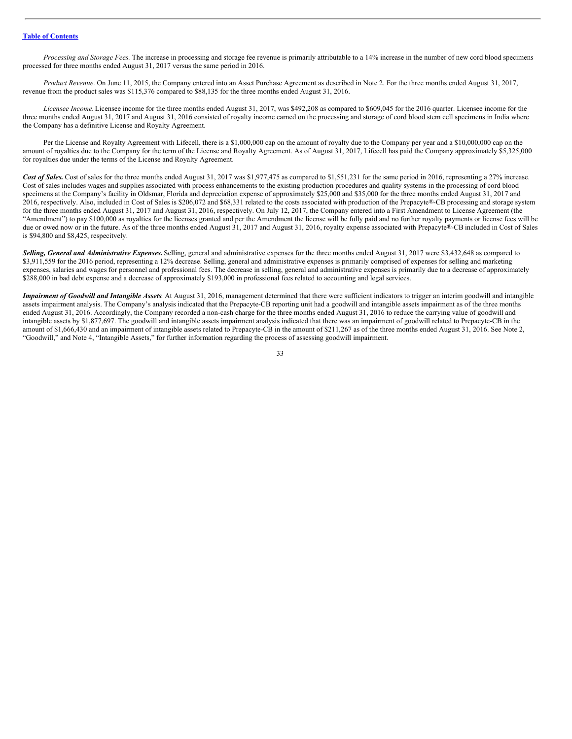*Processing and Storage Fees.* The increase in processing and storage fee revenue is primarily attributable to a 14% increase in the number of new cord blood specimens processed for three months ended August 31, 2017 versus the same period in 2016.

*Product Revenue*. On June 11, 2015, the Company entered into an Asset Purchase Agreement as described in Note 2. For the three months ended August 31, 2017, revenue from the product sales was \$115,376 compared to \$88,135 for the three months ended August 31, 2016.

*Licensee Income.*Licensee income for the three months ended August 31, 2017, was \$492,208 as compared to \$609,045 for the 2016 quarter. Licensee income for the three months ended August 31, 2017 and August 31, 2016 consisted of royalty income earned on the processing and storage of cord blood stem cell specimens in India where the Company has a definitive License and Royalty Agreement.

Per the License and Royalty Agreement with Lifecell, there is a \$1,000,000 cap on the amount of royalty due to the Company per year and a \$10,000,000 cap on the amount of royalties due to the Company for the term of the License and Royalty Agreement. As of August 31, 2017, Lifecell has paid the Company approximately \$5,325,000 for royalties due under the terms of the License and Royalty Agreement.

Cost of Sales. Cost of sales for the three months ended August 31, 2017 was \$1,977,475 as compared to \$1,551,231 for the same period in 2016, representing a 27% increase. Cost of sales includes wages and supplies associated with process enhancements to the existing production procedures and quality systems in the processing of cord blood specimens at the Company's facility in Oldsmar, Florida and depreciation expense of approximately \$25,000 and \$35,000 for the three months ended August 31, 2017 and 2016, respectively. Also, included in Cost of Sales is \$206,072 and \$68,331 related to the costs associated with production of the Prepacyte®-CB processing and storage system for the three months ended August 31, 2017 and August 31, 2016, respectively. On July 12, 2017, the Company entered into a First Amendment to License Agreement (the "Amendment") to pay \$100,000 as royalties for the licenses granted and per the Amendment the license will be fully paid and no further royalty payments or license fees will be due or owed now or in the future. As of the three months ended August 31, 2017 and August 31, 2016, royalty expense associated with Prepacyte®-CB included in Cost of Sales is \$94,800 and \$8,425, respecitvely.

*Selling, General and Administrative Expenses.* Selling, general and administrative expenses for the three months ended August 31, 2017 were \$3,432,648 as compared to \$3,911,559 for the 2016 period, representing a 12% decrease. Selling, general and administrative expenses is primarily comprised of expenses for selling and marketing expenses, salaries and wages for personnel and professional fees. The decrease in selling, general and administrative expenses is primarily due to a decrease of approximately \$288,000 in bad debt expense and a decrease of approximately \$193,000 in professional fees related to accounting and legal services.

*Impairment of Goodwill and Intangible Assets*. At August 31, 2016, management determined that there were sufficient indicators to trigger an interim goodwill and intangible assets impairment analysis. The Company's analysis indicated that the Prepacyte-CB reporting unit had a goodwill and intangible assets impairment as of the three months ended August 31, 2016. Accordingly, the Company recorded a non-cash charge for the three months ended August 31, 2016 to reduce the carrying value of goodwill and intangible assets by \$1,877,697. The goodwill and intangible assets impairment analysis indicated that there was an impairment of goodwill related to Prepacyte-CB in the amount of \$1,666,430 and an impairment of intangible assets related to Prepacyte-CB in the amount of \$211,267 as of the three months ended August 31, 2016. See Note 2, "Goodwill," and Note 4, "Intangible Assets," for further information regarding the process of assessing goodwill impairment.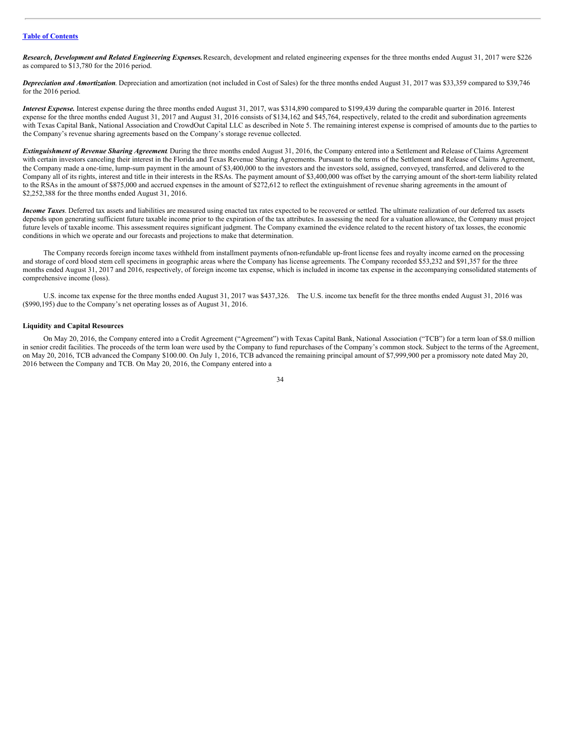*Research, Development and Related Engineering Expenses.*Research, development and related engineering expenses for the three months ended August 31, 2017 were \$226 as compared to \$13,780 for the 2016 period.

*Depreciation and Amortization*. Depreciation and amortization (not included in Cost of Sales) for the three months ended August 31, 2017 was \$33,359 compared to \$39,746 for the 2016 period.

*Interest Expense.* Interest expense during the three months ended August 31, 2017, was \$314,890 compared to \$199,439 during the comparable quarter in 2016. Interest expense for the three months ended August 31, 2017 and August 31, 2016 consists of \$134,162 and \$45,764, respectively, related to the credit and subordination agreements with Texas Capital Bank, National Association and CrowdOut Capital LLC as described in Note 5. The remaining interest expense is comprised of amounts due to the parties to the Company's revenue sharing agreements based on the Company's storage revenue collected.

*Extinguishment of Revenue Sharing Agreement*. During the three months ended August 31, 2016, the Company entered into a Settlement and Release of Claims Agreement with certain investors canceling their interest in the Florida and Texas Revenue Sharing Agreements. Pursuant to the terms of the Settlement and Release of Claims Agreement, the Company made a one-time, lump-sum payment in the amount of \$3,400,000 to the investors and the investors sold, assigned, conveyed, transferred, and delivered to the Company all of its rights, interest and title in their interests in the RSAs. The payment amount of \$3,400,000 was offset by the carrying amount of the short-term liability related to the RSAs in the amount of \$875,000 and accrued expenses in the amount of \$272,612 to reflect the extinguishment of revenue sharing agreements in the amount of \$2,252,388 for the three months ended August 31, 2016.

*Income Taxes*. Deferred tax assets and liabilities are measured using enacted tax rates expected to be recovered or settled. The ultimate realization of our deferred tax assets depends upon generating sufficient future taxable income prior to the expiration of the tax attributes. In assessing the need for a valuation allowance, the Company must project future levels of taxable income. This assessment requires significant judgment. The Company examined the evidence related to the recent history of tax losses, the economic conditions in which we operate and our forecasts and projections to make that determination.

The Company records foreign income taxes withheld from installment payments ofnon-refundable up-front license fees and royalty income earned on the processing and storage of cord blood stem cell specimens in geographic areas where the Company has license agreements. The Company recorded \$53,232 and \$91,357 for the three months ended August 31, 2017 and 2016, respectively, of foreign income tax expense, which is included in income tax expense in the accompanying consolidated statements of comprehensive income (loss).

U.S. income tax expense for the three months ended August 31, 2017 was \$437,326. The U.S. income tax benefit for the three months ended August 31, 2016 was (\$990,195) due to the Company's net operating losses as of August 31, 2016.

#### **Liquidity and Capital Resources**

On May 20, 2016, the Company entered into a Credit Agreement ("Agreement") with Texas Capital Bank, National Association ("TCB") for a term loan of \$8.0 million in senior credit facilities. The proceeds of the term loan were used by the Company to fund repurchases of the Company's common stock. Subject to the terms of the Agreement, on May 20, 2016, TCB advanced the Company \$100.00. On July 1, 2016, TCB advanced the remaining principal amount of \$7,999,900 per a promissory note dated May 20, 2016 between the Company and TCB. On May 20, 2016, the Company entered into a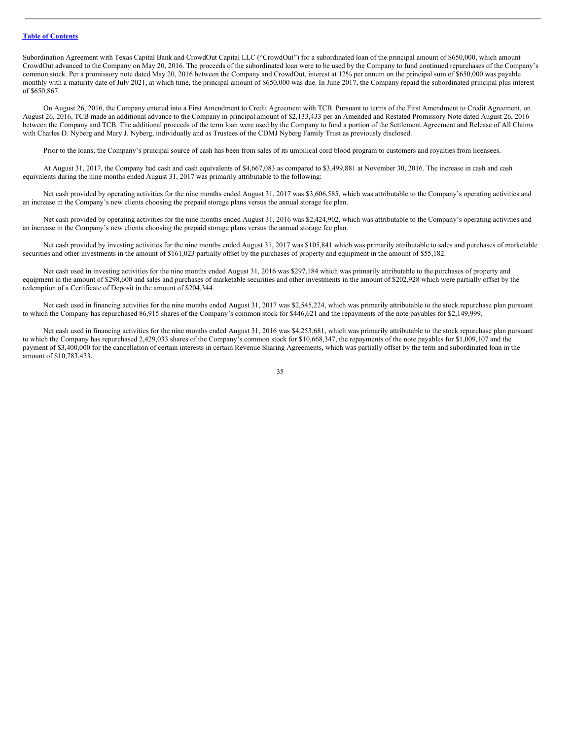Subordination Agreement with Texas Capital Bank and CrowdOut Capital LLC ("CrowdOut") for a subordinated loan of the principal amount of \$650,000, which amount CrowdOut advanced to the Company on May 20, 2016. The proceeds of the subordinated loan were to be used by the Company to fund continued repurchases of the Company's common stock. Per a promissory note dated May 20, 2016 between the Company and CrowdOut, interest at 12% per annum on the principal sum of \$650,000 was payable monthly with a maturity date of July 2021, at which time, the principal amount of \$650,000 was due. In June 2017, the Company repaid the subordinated principal plus interest of \$650,867.

On August 26, 2016, the Company entered into a First Amendment to Credit Agreement with TCB. Pursuant to terms of the First Amendment to Credit Agreement, on August 26, 2016, TCB made an additional advance to the Company in principal amount of \$2,133,433 per an Amended and Restated Promissory Note dated August 26, 2016 between the Company and TCB. The additional proceeds of the term loan were used by the Company to fund a portion of the Settlement Agreement and Release of All Claims with Charles D. Nyberg and Mary J. Nyberg, individually and as Trustees of the CDMJ Nyberg Family Trust as previously disclosed.

Prior to the loans, the Company's principal source of cash has been from sales of its umbilical cord blood program to customers and royalties from licensees.

At August 31, 2017, the Company had cash and cash equivalents of \$4,667,083 as compared to \$3,499,881 at November 30, 2016. The increase in cash and cash equivalents during the nine months ended August 31, 2017 was primarily attributable to the following:

Net cash provided by operating activities for the nine months ended August 31, 2017 was \$3,606,585, which was attributable to the Company's operating activities and an increase in the Company's new clients choosing the prepaid storage plans versus the annual storage fee plan.

Net cash provided by operating activities for the nine months ended August 31, 2016 was \$2,424,902, which was attributable to the Company's operating activities and an increase in the Company's new clients choosing the prepaid storage plans versus the annual storage fee plan.

Net cash provided by investing activities for the nine months ended August 31, 2017 was \$105,841 which was primarily attributable to sales and purchases of marketable securities and other investments in the amount of \$161,023 partially offset by the purchases of property and equipment in the amount of \$55,182.

Net cash used in investing activities for the nine months ended August 31, 2016 was \$297,184 which was primarily attributable to the purchases of property and equipment in the amount of \$298,600 and sales and purchases of marketable securities and other investments in the amount of \$202,928 which were partially offset by the redemption of a Certificate of Deposit in the amount of \$204,344.

Net cash used in financing activities for the nine months ended August 31, 2017 was \$2,545,224, which was primarily attributable to the stock repurchase plan pursuant to which the Company has repurchased 86,915 shares of the Company's common stock for \$446,621 and the repayments of the note payables for \$2,149,999.

Net cash used in financing activities for the nine months ended August 31, 2016 was \$4,253,681, which was primarily attributable to the stock repurchase plan pursuant to which the Company has repurchased 2,429,033 shares of the Company's common stock for \$10,668,347, the repayments of the note payables for \$1,009,107 and the payment of \$3,400,000 for the cancellation of certain interests in certain Revenue Sharing Agreements, which was partially offset by the term and subordinated loan in the amount of \$10,783,433.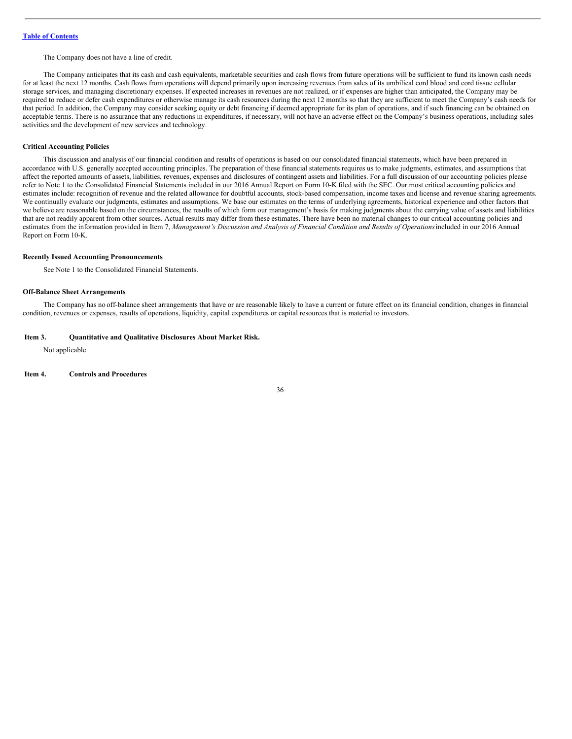The Company does not have a line of credit.

The Company anticipates that its cash and cash equivalents, marketable securities and cash flows from future operations will be sufficient to fund its known cash needs for at least the next 12 months. Cash flows from operations will depend primarily upon increasing revenues from sales of its umbilical cord blood and cord tissue cellular storage services, and managing discretionary expenses. If expected increases in revenues are not realized, or if expenses are higher than anticipated, the Company may be required to reduce or defer cash expenditures or otherwise manage its cash resources during the next 12 months so that they are sufficient to meet the Company's cash needs for that period. In addition, the Company may consider seeking equity or debt financing if deemed appropriate for its plan of operations, and if such financing can be obtained on acceptable terms. There is no assurance that any reductions in expenditures, if necessary, will not have an adverse effect on the Company's business operations, including sales activities and the development of new services and technology.

#### **Critical Accounting Policies**

This discussion and analysis of our financial condition and results of operations is based on our consolidated financial statements, which have been prepared in accordance with U.S. generally accepted accounting principles. The preparation of these financial statements requires us to make judgments, estimates, and assumptions that affect the reported amounts of assets, liabilities, revenues, expenses and disclosures of contingent assets and liabilities. For a full discussion of our accounting policies please refer to Note 1 to the Consolidated Financial Statements included in our 2016 Annual Report on Form 10-K filed with the SEC. Our most critical accounting policies and estimates include: recognition of revenue and the related allowance for doubtful accounts, stock-based compensation, income taxes and license and revenue sharing agreements. We continually evaluate our judgments, estimates and assumptions. We base our estimates on the terms of underlying agreements, historical experience and other factors that we believe are reasonable based on the circumstances, the results of which form our management's basis for making judgments about the carrying value of assets and liabilities that are not readily apparent from other sources. Actual results may differ from these estimates. There have been no material changes to our critical accounting policies and estimates from the information provided in Item 7, Management's Discussion and Analysis of Financial Condition and Results of Operations included in our 2016 Annual Report on Form 10-K.

#### **Recently Issued Accounting Pronouncements**

See Note 1 to the Consolidated Financial Statements.

#### **Off-Balance Sheet Arrangements**

The Company has no off-balance sheet arrangements that have or are reasonable likely to have a current or future effect on its financial condition, changes in financial condition, revenues or expenses, results of operations, liquidity, capital expenditures or capital resources that is material to investors.

## <span id="page-35-0"></span>**Item 3. Quantitative and Qualitative Disclosures About Market Risk.**

Not applicable.

<span id="page-35-1"></span>**Item 4. Controls and Procedures**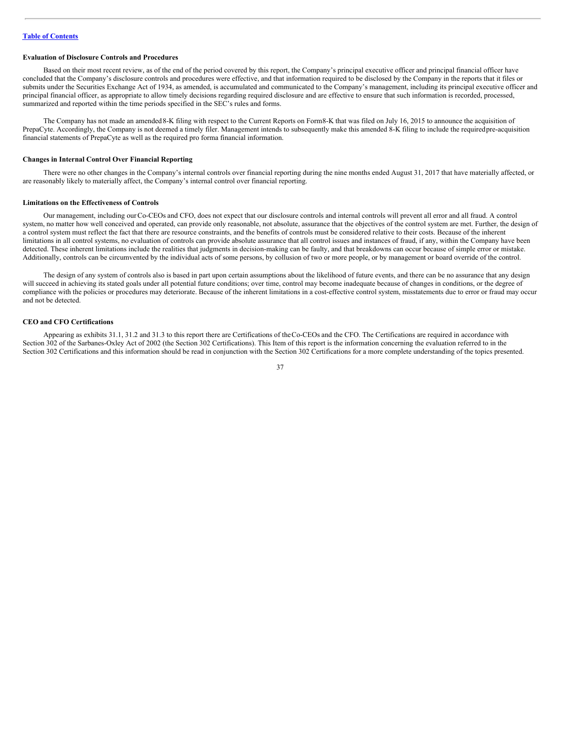#### **Evaluation of Disclosure Controls and Procedures**

Based on their most recent review, as of the end of the period covered by this report, the Company's principal executive officer and principal financial officer have concluded that the Company's disclosure controls and procedures were effective, and that information required to be disclosed by the Company in the reports that it files or submits under the Securities Exchange Act of 1934, as amended, is accumulated and communicated to the Company's management, including its principal executive officer and principal financial officer, as appropriate to allow timely decisions regarding required disclosure and are effective to ensure that such information is recorded, processed, summarized and reported within the time periods specified in the SEC's rules and forms.

The Company has not made an amended 8-K filing with respect to the Current Reports on Form8-K that was filed on July 16, 2015 to announce the acquisition of PrepaCyte. Accordingly, the Company is not deemed a timely filer. Management intends to subsequently make this amended 8-K filing to include the required pre-acquisition financial statements of PrepaCyte as well as the required pro forma financial information.

#### **Changes in Internal Control Over Financial Reporting**

There were no other changes in the Company's internal controls over financial reporting during the nine months ended August 31, 2017 that have materially affected, or are reasonably likely to materially affect, the Company's internal control over financial reporting.

#### **Limitations on the Effectiveness of Controls**

Our management, including ourCo-CEOs and CFO, does not expect that our disclosure controls and internal controls will prevent all error and all fraud. A control system, no matter how well conceived and operated, can provide only reasonable, not absolute, assurance that the objectives of the control system are met. Further, the design of a control system must reflect the fact that there are resource constraints, and the benefits of controls must be considered relative to their costs. Because of the inherent limitations in all control systems, no evaluation of controls can provide absolute assurance that all control issues and instances of fraud, if any, within the Company have been detected. These inherent limitations include the realities that judgments in decision-making can be faulty, and that breakdowns can occur because of simple error or mistake. Additionally, controls can be circumvented by the individual acts of some persons, by collusion of two or more people, or by management or board override of the control.

The design of any system of controls also is based in part upon certain assumptions about the likelihood of future events, and there can be no assurance that any design will succeed in achieving its stated goals under all potential future conditions; over time, control may become inadequate because of changes in conditions, or the degree of compliance with the policies or procedures may deteriorate. Because of the inherent limitations in a cost-effective control system, misstatements due to error or fraud may occur and not be detected.

#### **CEO and CFO Certifications**

Appearing as exhibits 31.1, 31.2 and 31.3 to this report there are Certifications of theCo-CEOs and the CFO. The Certifications are required in accordance with Section 302 of the Sarbanes-Oxley Act of 2002 (the Section 302 Certifications). This Item of this report is the information concerning the evaluation referred to in the Section 302 Certifications and this information should be read in conjunction with the Section 302 Certifications for a more complete understanding of the topics presented.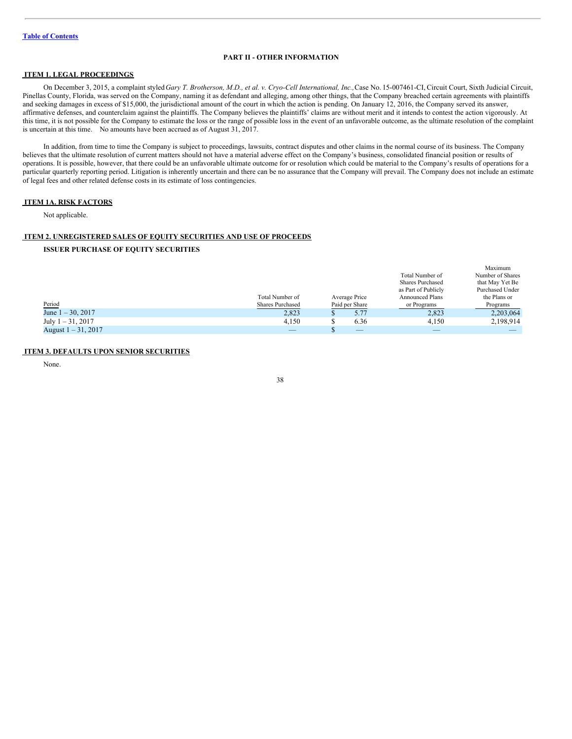# <span id="page-37-0"></span>**PART II - OTHER INFORMATION**

#### <span id="page-37-1"></span>**ITEM 1. LEGAL PROCEEDINGS**

On December 3, 2015, a complaint styled Gary T. Brotherson, M.D., et al. v. Cryo-Cell International, Inc., Case No. 15-007461-CI, Circuit Court, Sixth Judicial Circuit, Pinellas County, Florida, was served on the Company, naming it as defendant and alleging, among other things, that the Company breached certain agreements with plaintiffs and seeking damages in excess of \$15,000, the jurisdictional amount of the court in which the action is pending. On January 12, 2016, the Company served its answer, affirmative defenses, and counterclaim against the plaintiffs. The Company believes the plaintiffs' claims are without merit and it intends to contest the action vigorously. At this time, it is not possible for the Company to estimate the loss or the range of possible loss in the event of an unfavorable outcome, as the ultimate resolution of the complaint is uncertain at this time. No amounts have been accrued as of August 31, 2017.

In addition, from time to time the Company is subject to proceedings, lawsuits, contract disputes and other claims in the normal course of its business. The Company believes that the ultimate resolution of current matters should not have a material adverse effect on the Company's business, consolidated financial position or results of operations. It is possible, however, that there could be an unfavorable ultimate outcome for or resolution which could be material to the Company's results of operations for a particular quarterly reporting period. Litigation is inherently uncertain and there can be no assurance that the Company will prevail. The Company does not include an estimate of legal fees and other related defense costs in its estimate of loss contingencies.

#### <span id="page-37-2"></span>**ITEM 1A. RISK FACTORS**

Not applicable.

# <span id="page-37-3"></span>**ITEM 2. UNREGISTERED SALES OF EQUITY SECURITIES AND USE OF PROCEEDS**

#### **ISSUER PURCHASE OF EQUITY SECURITIES**

|                        |                         |                | Total Number of         | Number of Shares       |
|------------------------|-------------------------|----------------|-------------------------|------------------------|
|                        |                         |                | <b>Shares Purchased</b> | that May Yet Be        |
|                        |                         |                | as Part of Publicly     | <b>Purchased Under</b> |
|                        | Total Number of         | Average Price  | <b>Announced Plans</b>  | the Plans or           |
| Period                 | <b>Shares Purchased</b> | Paid per Share | or Programs             | Programs               |
| June $1 - 30, 2017$    | 2,823                   | 5.77           | 2,823                   | 2,203,064              |
| July $1 - 31$ , 2017   | 4.150                   | 6.36           | 4.150                   | 2,198,914              |
| August $1 - 31$ , 2017 |                         |                |                         |                        |

Maximum

# <span id="page-37-4"></span>**ITEM 3. DEFAULTS UPON SENIOR SECURITIES**

None.

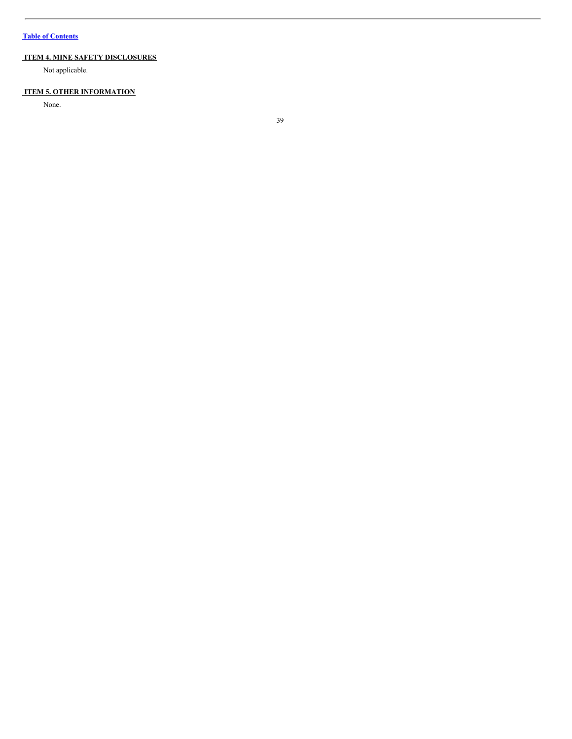# <span id="page-38-0"></span>**ITEM 4. MINE SAFETY DISCLOSURES**

Not applicable.

# <span id="page-38-1"></span>**ITEM 5. OTHER INFORMATION**

None.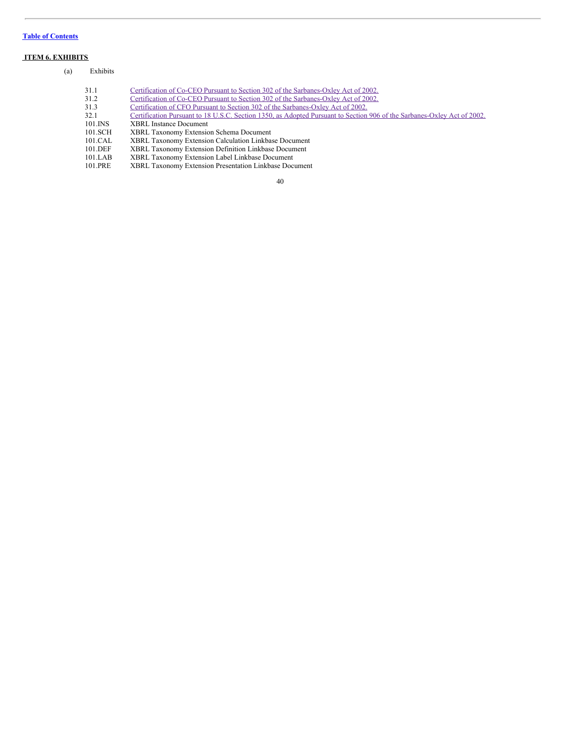# <span id="page-39-0"></span>**ITEM 6. EXHIBITS**

| (a) | Exhibits |
|-----|----------|
|-----|----------|

| 31.1<br>31.2 | Certification of Co-CEO Pursuant to Section 302 of the Sarbanes-Oxley Act of 2002.<br>Certification of Co-CEO Pursuant to Section 302 of the Sarbanes-Oxley Act of 2002. |
|--------------|--------------------------------------------------------------------------------------------------------------------------------------------------------------------------|
| 31.3         | Certification of CFO Pursuant to Section 302 of the Sarbanes-Oxley Act of 2002.                                                                                          |
| 32.1         | Certification Pursuant to 18 U.S.C. Section 1350, as Adopted Pursuant to Section 906 of the Sarbanes-Oxley Act of 2002.                                                  |
| 101.INS      | <b>XBRL</b> Instance Document                                                                                                                                            |
| 101.SCH      | XBRL Taxonomy Extension Schema Document                                                                                                                                  |
| 101.CAL      | XBRL Taxonomy Extension Calculation Linkbase Document                                                                                                                    |
| 101.DEF      | XBRL Taxonomy Extension Definition Linkbase Document                                                                                                                     |
| 101.LAB      | XBRL Taxonomy Extension Label Linkbase Document                                                                                                                          |
| 101.PRE      | XBRL Taxonomy Extension Presentation Linkbase Document                                                                                                                   |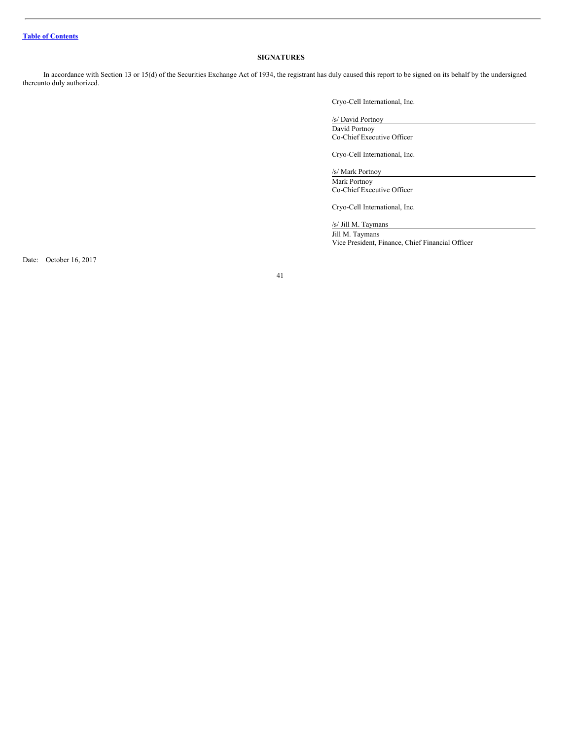#### <span id="page-40-0"></span>**SIGNATURES**

In accordance with Section 13 or 15(d) of the Securities Exchange Act of 1934, the registrant has duly caused this report to be signed on its behalf by the undersigned thereunto duly authorized.

Cryo-Cell International, Inc.

/s/ David Portnoy David Portnoy

Co-Chief Executive Officer

Cryo-Cell International, Inc.

/s/ Mark Portnoy Mark Portnoy Co-Chief Executive Officer

Cryo-Cell International, Inc.

/s/ Jill M. Taymans

Jill M. Taymans Vice President, Finance, Chief Financial Officer

Date: October 16, 2017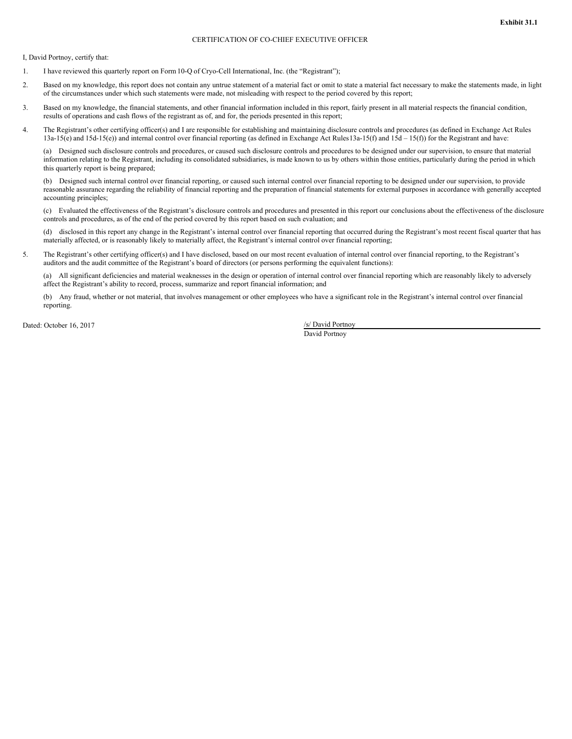### CERTIFICATION OF CO-CHIEF EXECUTIVE OFFICER

<span id="page-41-0"></span>I, David Portnoy, certify that:

- 1. I have reviewed this quarterly report on Form10-Q of Cryo-Cell International, Inc. (the "Registrant");
- 2. Based on my knowledge, this report does not contain any untrue statement of a material fact or omit to state a material fact necessary to make the statements made, in light of the circumstances under which such statements were made, not misleading with respect to the period covered by this report;
- 3. Based on my knowledge, the financial statements, and other financial information included in this report, fairly present in all material respects the financial condition, results of operations and cash flows of the registrant as of, and for, the periods presented in this report;
- 4. The Registrant's other certifying officer(s) and I are responsible for establishing and maintaining disclosure controls and procedures (as defined in Exchange Act Rules  $13a-15(e)$  and  $15d-15(e)$  and internal control over financial reporting (as defined in Exchange Act Rules 13a-15(f) and  $15d-15(f)$  for the Registrant and have:

(a) Designed such disclosure controls and procedures, or caused such disclosure controls and procedures to be designed under our supervision, to ensure that material information relating to the Registrant, including its consolidated subsidiaries, is made known to us by others within those entities, particularly during the period in which this quarterly report is being prepared;

(b) Designed such internal control over financial reporting, or caused such internal control over financial reporting to be designed under our supervision, to provide reasonable assurance regarding the reliability of financial reporting and the preparation of financial statements for external purposes in accordance with generally accepted accounting principles;

(c) Evaluated the effectiveness of the Registrant's disclosure controls and procedures and presented in this report our conclusions about the effectiveness of the disclosure controls and procedures, as of the end of the period covered by this report based on such evaluation; and

(d) disclosed in this report any change in the Registrant's internal control over financial reporting that occurred during the Registrant's most recent fiscal quarter that has materially affected, or is reasonably likely to materially affect, the Registrant's internal control over financial reporting;

5. The Registrant's other certifying officer(s) and I have disclosed, based on our most recent evaluation of internal control over financial reporting, to the Registrant's auditors and the audit committee of the Registrant's board of directors (or persons performing the equivalent functions):

(a) All significant deficiencies and material weaknesses in the design or operation of internal control over financial reporting which are reasonably likely to adversely affect the Registrant's ability to record, process, summarize and report financial information; and

(b) Any fraud, whether or not material, that involves management or other employees who have a significant role in the Registrant's internal control over financial reporting.

Dated: October 16, 2017 /s/ David Portnoy

David Portnoy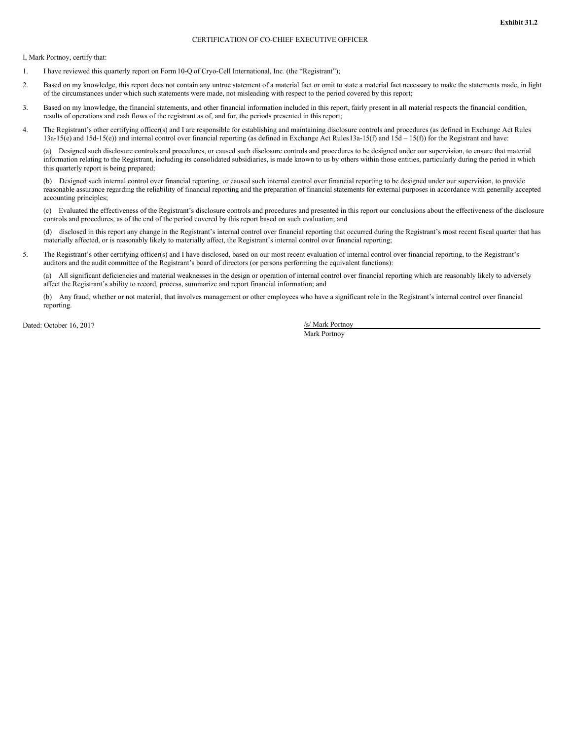#### CERTIFICATION OF CO-CHIEF EXECUTIVE OFFICER

<span id="page-42-0"></span>I, Mark Portnoy, certify that:

- 1. I have reviewed this quarterly report on Form10-Q of Cryo-Cell International, Inc. (the "Registrant");
- 2. Based on my knowledge, this report does not contain any untrue statement of a material fact or omit to state a material fact necessary to make the statements made, in light of the circumstances under which such statements were made, not misleading with respect to the period covered by this report;
- 3. Based on my knowledge, the financial statements, and other financial information included in this report, fairly present in all material respects the financial condition, results of operations and cash flows of the registrant as of, and for, the periods presented in this report;
- 4. The Registrant's other certifying officer(s) and I are responsible for establishing and maintaining disclosure controls and procedures (as defined in Exchange Act Rules  $13a-15(e)$  and  $15d-15(e)$  and internal control over financial reporting (as defined in Exchange Act Rules 13a-15(f) and  $15d-15(f)$  for the Registrant and have:

(a) Designed such disclosure controls and procedures, or caused such disclosure controls and procedures to be designed under our supervision, to ensure that material information relating to the Registrant, including its consolidated subsidiaries, is made known to us by others within those entities, particularly during the period in which this quarterly report is being prepared;

(b) Designed such internal control over financial reporting, or caused such internal control over financial reporting to be designed under our supervision, to provide reasonable assurance regarding the reliability of financial reporting and the preparation of financial statements for external purposes in accordance with generally accepted accounting principles;

(c) Evaluated the effectiveness of the Registrant's disclosure controls and procedures and presented in this report our conclusions about the effectiveness of the disclosure controls and procedures, as of the end of the period covered by this report based on such evaluation; and

(d) disclosed in this report any change in the Registrant's internal control over financial reporting that occurred during the Registrant's most recent fiscal quarter that has materially affected, or is reasonably likely to materially affect, the Registrant's internal control over financial reporting;

5. The Registrant's other certifying officer(s) and I have disclosed, based on our most recent evaluation of internal control over financial reporting, to the Registrant's auditors and the audit committee of the Registrant's board of directors (or persons performing the equivalent functions):

(a) All significant deficiencies and material weaknesses in the design or operation of internal control over financial reporting which are reasonably likely to adversely affect the Registrant's ability to record, process, summarize and report financial information; and

(b) Any fraud, whether or not material, that involves management or other employees who have a significant role in the Registrant's internal control over financial reporting.

Dated: October 16, 2017 /s/ Mark Portnoy

Mark Portnoy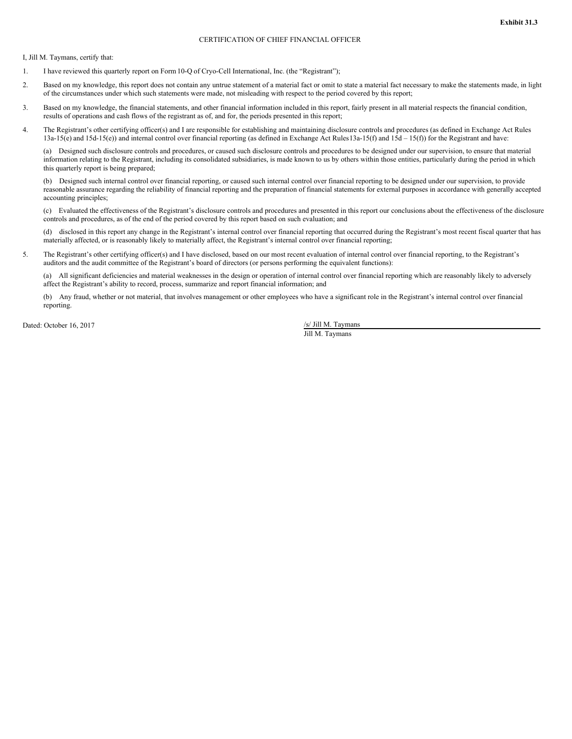#### CERTIFICATION OF CHIEF FINANCIAL OFFICER

<span id="page-43-0"></span>I, Jill M. Taymans, certify that:

- 1. I have reviewed this quarterly report on Form10-Q of Cryo-Cell International, Inc. (the "Registrant");
- 2. Based on my knowledge, this report does not contain any untrue statement of a material fact or omit to state a material fact necessary to make the statements made, in light of the circumstances under which such statements were made, not misleading with respect to the period covered by this report;
- 3. Based on my knowledge, the financial statements, and other financial information included in this report, fairly present in all material respects the financial condition, results of operations and cash flows of the registrant as of, and for, the periods presented in this report;
- 4. The Registrant's other certifying officer(s) and I are responsible for establishing and maintaining disclosure controls and procedures (as defined in Exchange Act Rules  $13a-15(e)$  and  $15d-15(e)$  and internal control over financial reporting (as defined in Exchange Act Rules 13a-15(f) and  $15d-15(f)$  for the Registrant and have:

(a) Designed such disclosure controls and procedures, or caused such disclosure controls and procedures to be designed under our supervision, to ensure that material information relating to the Registrant, including its consolidated subsidiaries, is made known to us by others within those entities, particularly during the period in which this quarterly report is being prepared;

(b) Designed such internal control over financial reporting, or caused such internal control over financial reporting to be designed under our supervision, to provide reasonable assurance regarding the reliability of financial reporting and the preparation of financial statements for external purposes in accordance with generally accepted accounting principles;

(c) Evaluated the effectiveness of the Registrant's disclosure controls and procedures and presented in this report our conclusions about the effectiveness of the disclosure controls and procedures, as of the end of the period covered by this report based on such evaluation; and

(d) disclosed in this report any change in the Registrant's internal control over financial reporting that occurred during the Registrant's most recent fiscal quarter that has materially affected, or is reasonably likely to materially affect, the Registrant's internal control over financial reporting;

5. The Registrant's other certifying officer(s) and I have disclosed, based on our most recent evaluation of internal control over financial reporting, to the Registrant's auditors and the audit committee of the Registrant's board of directors (or persons performing the equivalent functions):

(a) All significant deficiencies and material weaknesses in the design or operation of internal control over financial reporting which are reasonably likely to adversely affect the Registrant's ability to record, process, summarize and report financial information; and

(b) Any fraud, whether or not material, that involves management or other employees who have a significant role in the Registrant's internal control over financial reporting.

Dated: October 16, 2017 /s/ Jill M. Taymans

Jill M. Taymans